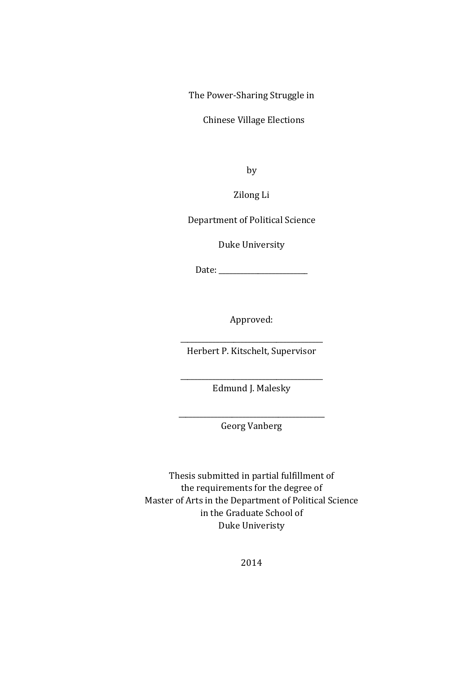The Power-Sharing Struggle in

Chinese Village Elections

by

Zilong Li

Department of Political Science

Duke University

Date: \_\_\_\_\_\_\_\_\_\_\_\_\_\_\_\_\_\_\_\_\_\_\_\_\_

Approved:

\_\_\_\_\_\_\_\_\_\_\_\_\_\_\_\_\_\_\_\_\_\_\_\_\_\_\_\_\_\_\_\_\_\_\_\_\_\_\_\_ Herbert P. Kitschelt, Supervisor

\_\_\_\_\_\_\_\_\_\_\_\_\_\_\_\_\_\_\_\_\_\_\_\_\_\_\_\_\_\_\_\_\_\_\_\_\_\_\_\_ Edmund J. Malesky

\_\_\_\_\_\_\_\_\_\_\_\_\_\_\_\_\_\_\_\_\_\_\_\_\_\_\_\_\_\_\_\_\_\_\_\_\_\_\_\_\_ Georg Vanberg

Thesis submitted in partial fulfillment of the requirements for the degree of Master of Arts in the Department of Political Science in the Graduate School of Duke Univeristy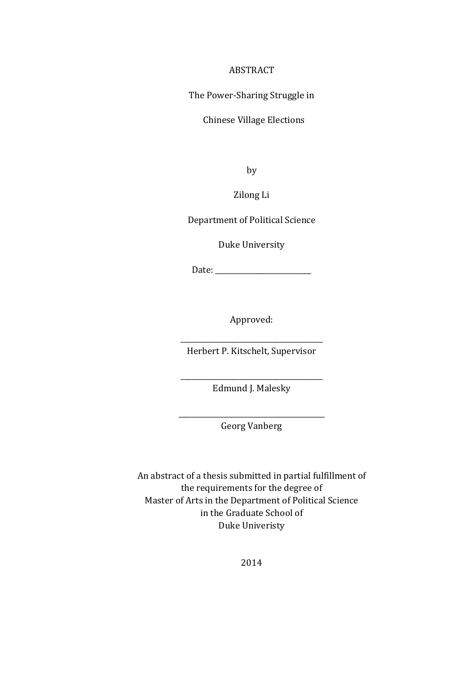#### ABSTRACT

The Power-Sharing Struggle in

Chinese Village Elections

by

Zilong Li

Department of Political Science

Duke University

Date:

Approved:

\_\_\_\_\_\_\_\_\_\_\_\_\_\_\_\_\_\_\_\_\_\_\_\_\_\_\_\_\_\_\_\_\_\_\_\_\_\_\_\_ Herbert P. Kitschelt, Supervisor

\_\_\_\_\_\_\_\_\_\_\_\_\_\_\_\_\_\_\_\_\_\_\_\_\_\_\_\_\_\_\_\_\_\_\_\_\_\_\_\_ Edmund J. Malesky

\_\_\_\_\_\_\_\_\_\_\_\_\_\_\_\_\_\_\_\_\_\_\_\_\_\_\_\_\_\_\_\_\_\_\_\_\_\_\_\_\_ Georg Vanberg

An abstract of a thesis submitted in partial fulfillment of the requirements for the degree of Master of Arts in the Department of Political Science in the Graduate School of Duke Univeristy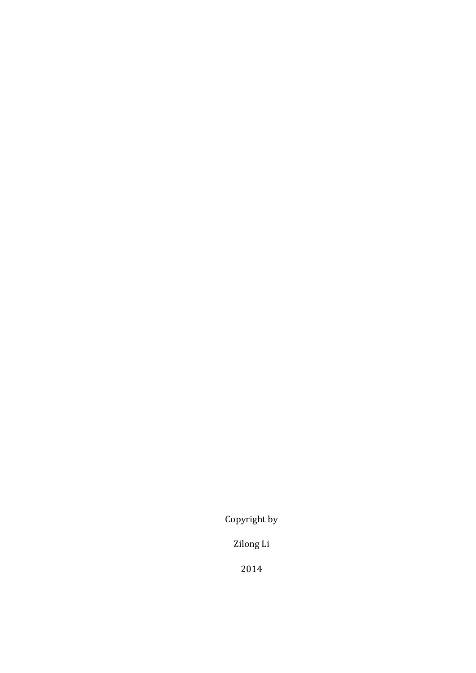Copyright by

Zilong Li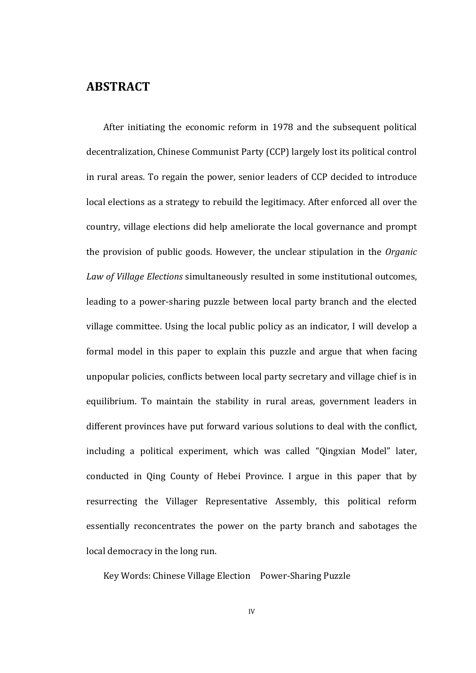### **ABSTRACT**

After initiating the economic reform in 1978 and the subsequent political decentralization, Chinese Communist Party (CCP) largely lost its political control in rural areas. To regain the power, senior leaders of CCP decided to introduce local elections as a strategy to rebuild the legitimacy. After enforced all over the country, village elections did help ameliorate the local governance and prompt the provision of public goods. However, the unclear stipulation in the *Organic* Law of Village Elections simultaneously resulted in some institutional outcomes, leading to a power-sharing puzzle between local party branch and the elected village committee. Using the local public policy as an indicator, I will develop a formal model in this paper to explain this puzzle and argue that when facing unpopular policies, conflicts between local party secretary and village chief is in equilibrium. To maintain the stability in rural areas, government leaders in different provinces have put forward various solutions to deal with the conflict, including a political experiment, which was called "Qingxian Model" later, conducted in Qing County of Hebei Province. I argue in this paper that by resurrecting the Villager Representative Assembly, this political reform essentially reconcentrates the power on the party branch and sabotages the local democracy in the long run.

Key Words: Chinese Village Election Power-Sharing Puzzle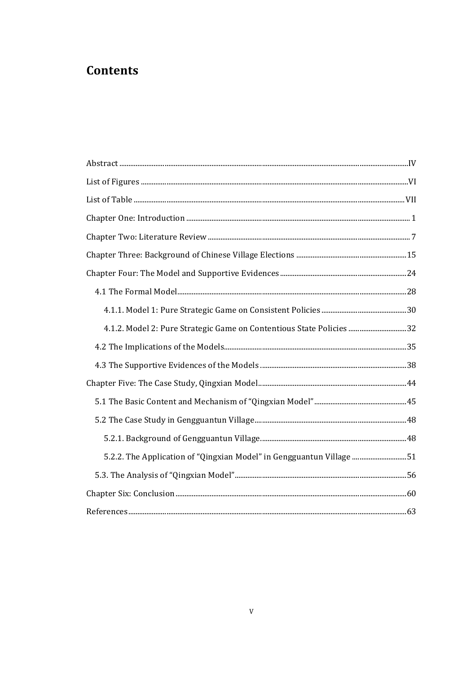# **Contents**

| 4.1.2. Model 2: Pure Strategic Game on Contentious State Policies 32 |  |
|----------------------------------------------------------------------|--|
|                                                                      |  |
|                                                                      |  |
|                                                                      |  |
|                                                                      |  |
|                                                                      |  |
|                                                                      |  |
| 5.2.2. The Application of "Qingxian Model" in Gengguantun Village 51 |  |
|                                                                      |  |
|                                                                      |  |
|                                                                      |  |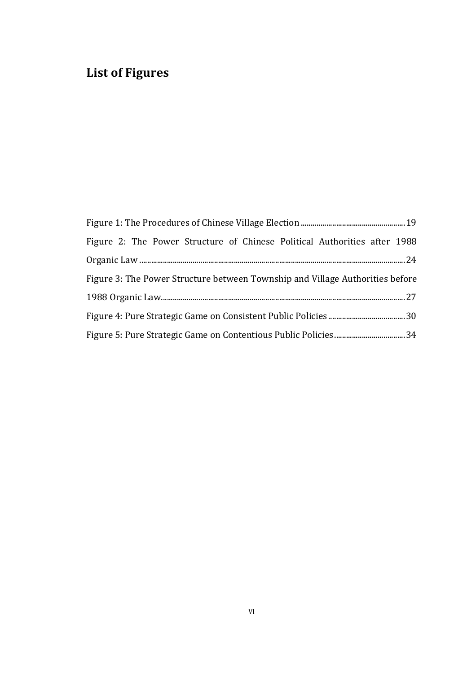# **List of Figures**

| Figure 2: The Power Structure of Chinese Political Authorities after 1988     |  |
|-------------------------------------------------------------------------------|--|
|                                                                               |  |
| Figure 3: The Power Structure between Township and Village Authorities before |  |
|                                                                               |  |
|                                                                               |  |
|                                                                               |  |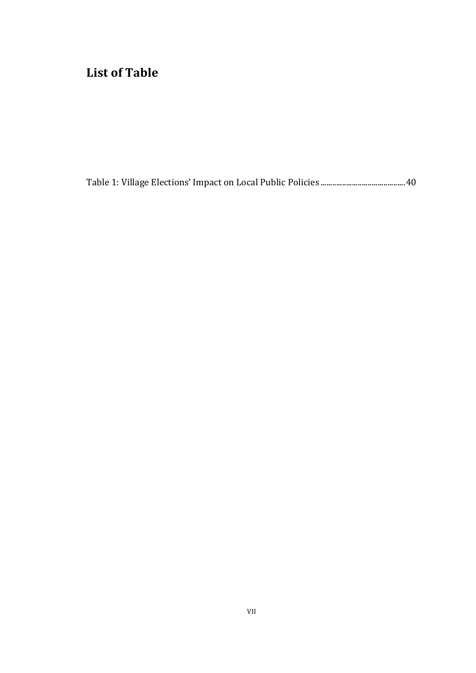# List of Table

Table 1: Village Elections' Impact on Local Public Policies ...........................................40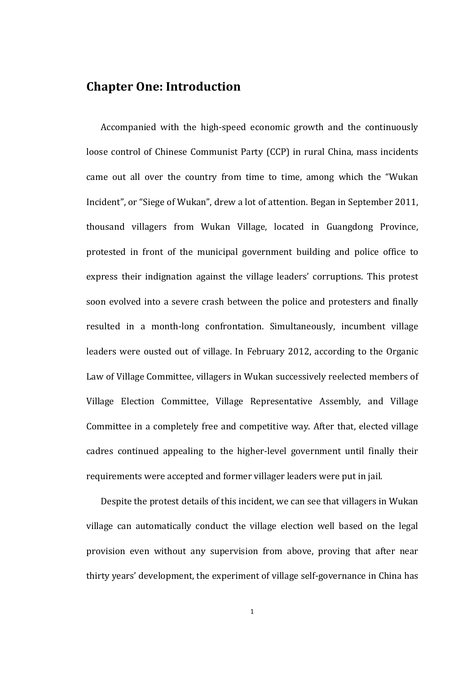## **Chapter One: Introduction**

Accompanied with the high-speed economic growth and the continuously loose control of Chinese Communist Party (CCP) in rural China, mass incidents came out all over the country from time to time, among which the "Wukan" Incident", or "Siege of Wukan", drew a lot of attention. Began in September 2011, thousand villagers from Wukan Village, located in Guangdong Province, protested in front of the municipal government building and police office to express their indignation against the village leaders' corruptions. This protest soon evolved into a severe crash between the police and protesters and finally resulted in a month-long confrontation. Simultaneously, incumbent village leaders were ousted out of village. In February 2012, according to the Organic Law of Village Committee, villagers in Wukan successively reelected members of Village Election Committee, Village Representative Assembly, and Village Committee in a completely free and competitive way. After that, elected village cadres continued appealing to the higher-level government until finally their requirements were accepted and former villager leaders were put in jail.

Despite the protest details of this incident, we can see that villagers in Wukan village can automatically conduct the village election well based on the legal provision even without any supervision from above, proving that after near thirty years' development, the experiment of village self-governance in China has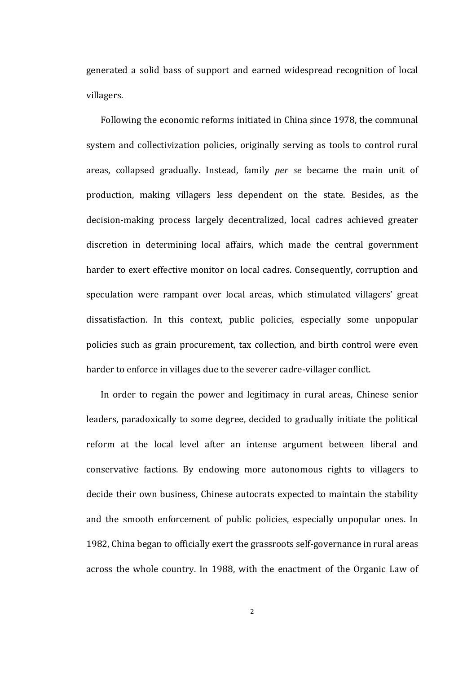generated a solid bass of support and earned widespread recognition of local villagers. 

Following the economic reforms initiated in China since 1978, the communal system and collectivization policies, originally serving as tools to control rural areas, collapsed gradually. Instead, family *per se* became the main unit of production, making villagers less dependent on the state. Besides, as the decision-making process largely decentralized, local cadres achieved greater discretion in determining local affairs, which made the central government harder to exert effective monitor on local cadres. Consequently, corruption and speculation were rampant over local areas, which stimulated villagers' great dissatisfaction. In this context, public policies, especially some unpopular policies such as grain procurement, tax collection, and birth control were even harder to enforce in villages due to the severer cadre-villager conflict.

In order to regain the power and legitimacy in rural areas, Chinese senior leaders, paradoxically to some degree, decided to gradually initiate the political reform at the local level after an intense argument between liberal and conservative factions. By endowing more autonomous rights to villagers to decide their own business, Chinese autocrats expected to maintain the stability and the smooth enforcement of public policies, especially unpopular ones. In 1982, China began to officially exert the grassroots self-governance in rural areas across the whole country. In 1988, with the enactment of the Organic Law of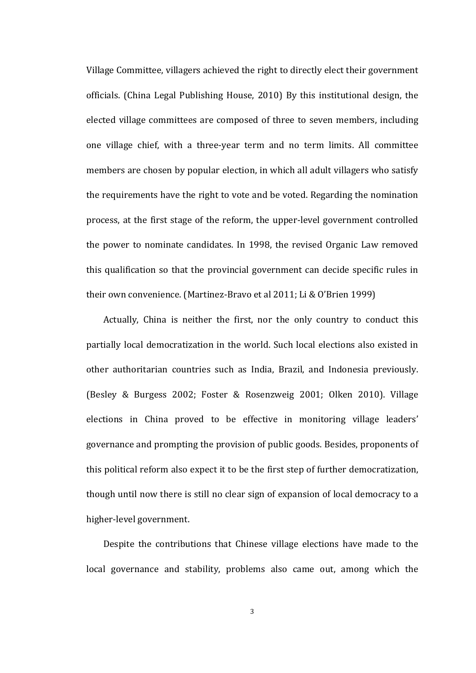Village Committee, villagers achieved the right to directly elect their government officials. (China Legal Publishing House, 2010) By this institutional design, the elected village committees are composed of three to seven members, including one village chief, with a three-year term and no term limits. All committee members are chosen by popular election, in which all adult villagers who satisfy the requirements have the right to vote and be voted. Regarding the nomination process, at the first stage of the reform, the upper-level government controlled the power to nominate candidates. In 1998, the revised Organic Law removed this qualification so that the provincial government can decide specific rules in their own convenience. (Martinez-Bravo et al 2011; Li & O'Brien 1999)

Actually, China is neither the first, nor the only country to conduct this partially local democratization in the world. Such local elections also existed in other authoritarian countries such as India, Brazil, and Indonesia previously. (Besley & Burgess 2002; Foster & Rosenzweig 2001; Olken 2010). Village elections in China proved to be effective in monitoring village leaders' governance and prompting the provision of public goods. Besides, proponents of this political reform also expect it to be the first step of further democratization, though until now there is still no clear sign of expansion of local democracy to a higher-level government.

Despite the contributions that Chinese village elections have made to the local governance and stability, problems also came out, among which the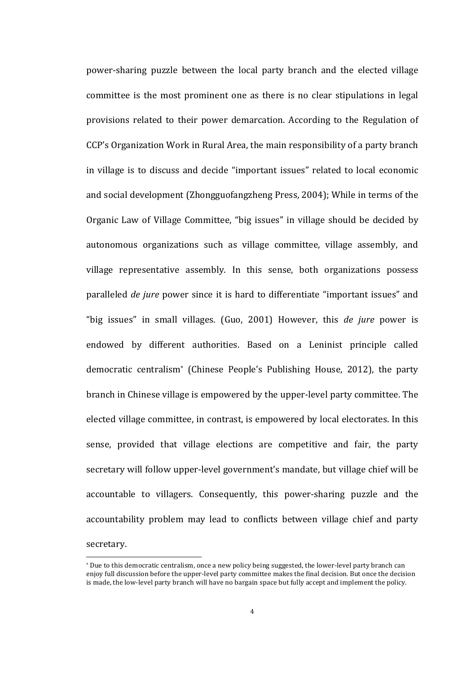power-sharing puzzle between the local party branch and the elected village committee is the most prominent one as there is no clear stipulations in legal provisions related to their power demarcation. According to the Regulation of CCP's Organization Work in Rural Area, the main responsibility of a party branch in village is to discuss and decide "important issues" related to local economic and social development (Zhongguofangzheng Press, 2004); While in terms of the Organic Law of Village Committee, "big issues" in village should be decided by autonomous organizations such as village committee, village assembly, and village representative assembly. In this sense, both organizations possess paralleled *de jure* power since it is hard to differentiate "important issues" and "big issues" in small villages. (Guo, 2001) However, this *de jure* power is endowed by different authorities. Based on a Leninist principle called democratic centralism<sup>\*</sup> (Chinese People's Publishing House, 2012), the party branch in Chinese village is empowered by the upper-level party committee. The elected village committee, in contrast, is empowered by local electorates. In this sense, provided that village elections are competitive and fair, the party secretary will follow upper-level government's mandate, but village chief will be accountable to villagers. Consequently, this power-sharing puzzle and the accountability problem may lead to conflicts between village chief and party secretary.

<sup>\*</sup> Due to this democratic centralism, once a new policy being suggested, the lower-level party branch can enjoy full discussion before the upper-level party committee makes the final decision. But once the decision is made, the low-level party branch will have no bargain space but fully accept and implement the policy.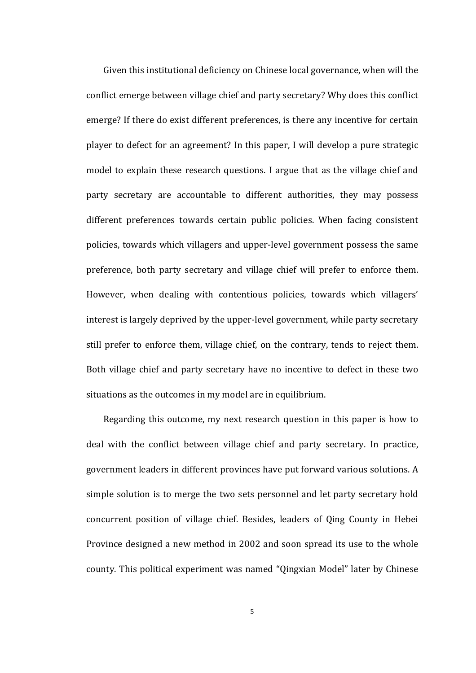Given this institutional deficiency on Chinese local governance, when will the conflict emerge between village chief and party secretary? Why does this conflict emerge? If there do exist different preferences, is there any incentive for certain player to defect for an agreement? In this paper, I will develop a pure strategic model to explain these research questions. I argue that as the village chief and party secretary are accountable to different authorities, they may possess different preferences towards certain public policies. When facing consistent policies, towards which villagers and upper-level government possess the same preference, both party secretary and village chief will prefer to enforce them. However, when dealing with contentious policies, towards which villagers' interest is largely deprived by the upper-level government, while party secretary still prefer to enforce them, village chief, on the contrary, tends to reject them. Both village chief and party secretary have no incentive to defect in these two situations as the outcomes in my model are in equilibrium.

Regarding this outcome, my next research question in this paper is how to deal with the conflict between village chief and party secretary. In practice, government leaders in different provinces have put forward various solutions. A simple solution is to merge the two sets personnel and let party secretary hold concurrent position of village chief. Besides, leaders of Qing County in Hebei Province designed a new method in 2002 and soon spread its use to the whole county. This political experiment was named "Qingxian Model" later by Chinese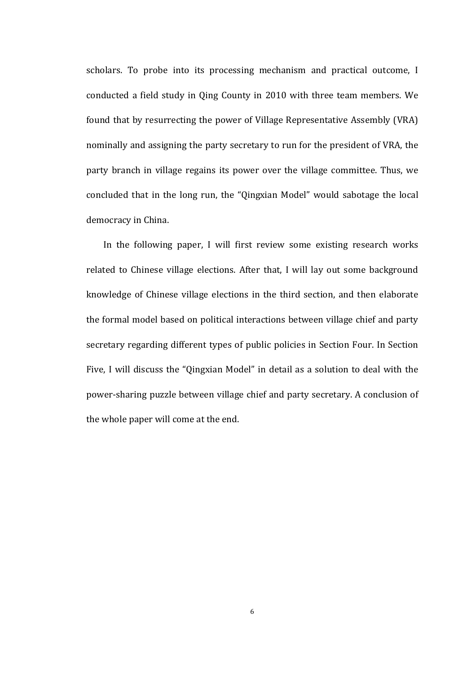scholars. To probe into its processing mechanism and practical outcome, I conducted a field study in Qing County in 2010 with three team members. We found that by resurrecting the power of Village Representative Assembly (VRA) nominally and assigning the party secretary to run for the president of VRA, the party branch in village regains its power over the village committee. Thus, we concluded that in the long run, the "Qingxian Model" would sabotage the local democracy in China.

In the following paper, I will first review some existing research works related to Chinese village elections. After that, I will lay out some background knowledge of Chinese village elections in the third section, and then elaborate the formal model based on political interactions between village chief and party secretary regarding different types of public policies in Section Four. In Section Five, I will discuss the "Qingxian Model" in detail as a solution to deal with the power-sharing puzzle between village chief and party secretary. A conclusion of the whole paper will come at the end.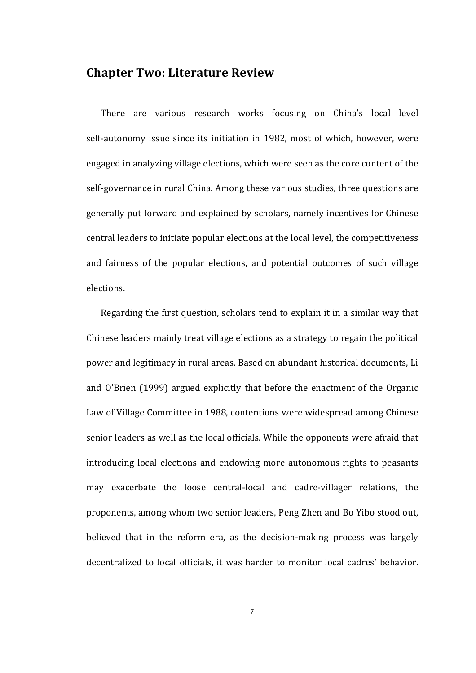### **Chapter Two: Literature Review**

There are various research works focusing on China's local level self-autonomy issue since its initiation in 1982, most of which, however, were engaged in analyzing village elections, which were seen as the core content of the self-governance in rural China. Among these various studies, three questions are generally put forward and explained by scholars, namely incentives for Chinese central leaders to initiate popular elections at the local level, the competitiveness and fairness of the popular elections, and potential outcomes of such village elections.

Regarding the first question, scholars tend to explain it in a similar way that Chinese leaders mainly treat village elections as a strategy to regain the political power and legitimacy in rural areas. Based on abundant historical documents, Li and O'Brien (1999) argued explicitly that before the enactment of the Organic Law of Village Committee in 1988, contentions were widespread among Chinese senior leaders as well as the local officials. While the opponents were afraid that introducing local elections and endowing more autonomous rights to peasants may exacerbate the loose central-local and cadre-villager relations, the proponents, among whom two senior leaders, Peng Zhen and Bo Yibo stood out, believed that in the reform era, as the decision-making process was largely decentralized to local officials, it was harder to monitor local cadres' behavior.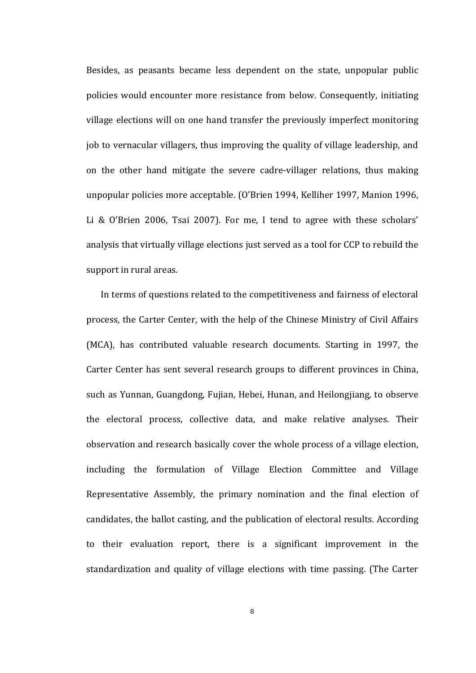Besides, as peasants became less dependent on the state, unpopular public policies would encounter more resistance from below. Consequently, initiating village elections will on one hand transfer the previously imperfect monitoring job to vernacular villagers, thus improving the quality of village leadership, and on the other hand mitigate the severe cadre-villager relations, thus making unpopular policies more acceptable. (O'Brien 1994, Kelliher 1997, Manion 1996, Li & O'Brien 2006, Tsai 2007). For me, I tend to agree with these scholars' analysis that virtually village elections just served as a tool for CCP to rebuild the support in rural areas.

In terms of questions related to the competitiveness and fairness of electoral process, the Carter Center, with the help of the Chinese Ministry of Civil Affairs (MCA), has contributed valuable research documents. Starting in 1997, the Carter Center has sent several research groups to different provinces in China, such as Yunnan, Guangdong, Fujian, Hebei, Hunan, and Heilongjiang, to observe the electoral process, collective data, and make relative analyses. Their observation and research basically cover the whole process of a village election, including the formulation of Village Election Committee and Village Representative Assembly, the primary nomination and the final election of candidates, the ballot casting, and the publication of electoral results. According to their evaluation report, there is a significant improvement in the standardization and quality of village elections with time passing. (The Carter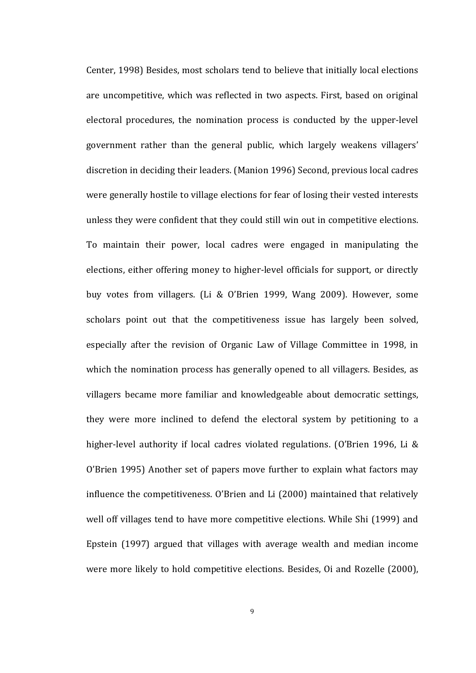Center, 1998) Besides, most scholars tend to believe that initially local elections are uncompetitive, which was reflected in two aspects. First, based on original electoral procedures, the nomination process is conducted by the upper-level government rather than the general public, which largely weakens villagers' discretion in deciding their leaders. (Manion 1996) Second, previous local cadres were generally hostile to village elections for fear of losing their vested interests unless they were confident that they could still win out in competitive elections. To maintain their power, local cadres were engaged in manipulating the elections, either offering money to higher-level officials for support, or directly buy votes from villagers. (Li & O'Brien 1999, Wang 2009). However, some scholars point out that the competitiveness issue has largely been solved, especially after the revision of Organic Law of Village Committee in 1998, in which the nomination process has generally opened to all villagers. Besides, as villagers became more familiar and knowledgeable about democratic settings, they were more inclined to defend the electoral system by petitioning to a higher-level authority if local cadres violated regulations. (O'Brien 1996, Li & O'Brien 1995) Another set of papers move further to explain what factors may influence the competitiveness. O'Brien and Li (2000) maintained that relatively well off villages tend to have more competitive elections. While Shi (1999) and Epstein (1997) argued that villages with average wealth and median income were more likely to hold competitive elections. Besides, Oi and Rozelle (2000),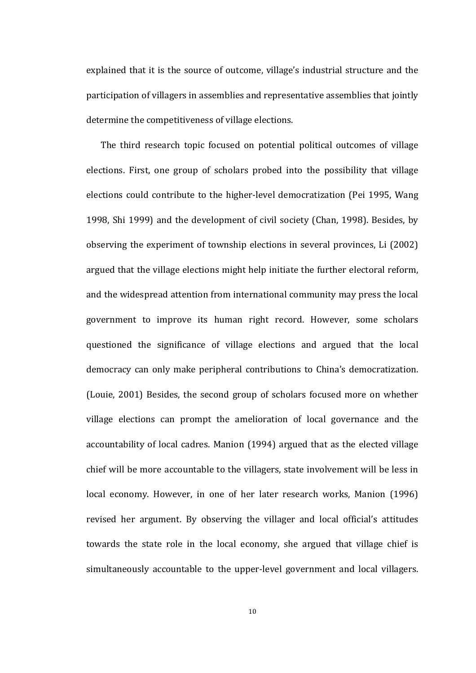explained that it is the source of outcome, village's industrial structure and the participation of villagers in assemblies and representative assemblies that jointly determine the competitiveness of village elections.

The third research topic focused on potential political outcomes of village elections. First, one group of scholars probed into the possibility that village elections could contribute to the higher-level democratization (Pei 1995, Wang 1998, Shi 1999) and the development of civil society (Chan, 1998). Besides, by observing the experiment of township elections in several provinces, Li (2002) argued that the village elections might help initiate the further electoral reform, and the widespread attention from international community may press the local government to improve its human right record. However, some scholars questioned the significance of village elections and argued that the local democracy can only make peripheral contributions to China's democratization. (Louie, 2001) Besides, the second group of scholars focused more on whether village elections can prompt the amelioration of local governance and the accountability of local cadres. Manion (1994) argued that as the elected village chief will be more accountable to the villagers, state involvement will be less in local economy. However, in one of her later research works, Manion (1996) revised her argument. By observing the villager and local official's attitudes towards the state role in the local economy, she argued that village chief is simultaneously accountable to the upper-level government and local villagers.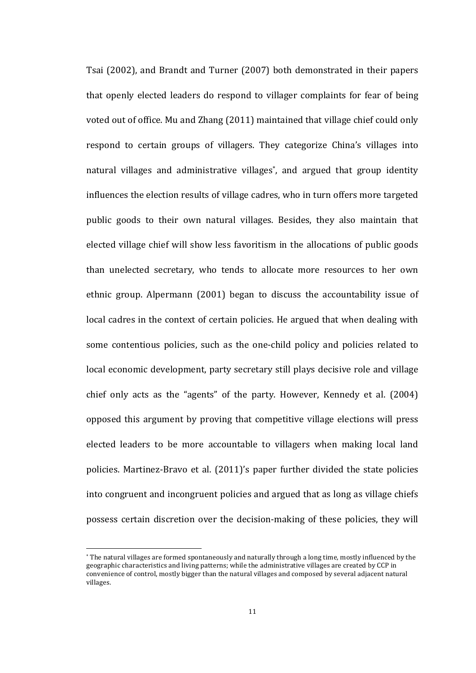Tsai (2002), and Brandt and Turner (2007) both demonstrated in their papers that openly elected leaders do respond to villager complaints for fear of being voted out of office. Mu and Zhang (2011) maintained that village chief could only respond to certain groups of villagers. They categorize China's villages into natural villages and administrative villages<sup>\*</sup>, and argued that group identity influences the election results of village cadres, who in turn offers more targeted public goods to their own natural villages. Besides, they also maintain that elected village chief will show less favoritism in the allocations of public goods than unelected secretary, who tends to allocate more resources to her own ethnic group. Alpermann (2001) began to discuss the accountability issue of local cadres in the context of certain policies. He argued that when dealing with some contentious policies, such as the one-child policy and policies related to local economic development, party secretary still plays decisive role and village chief only acts as the "agents" of the party. However, Kennedy et al. (2004) opposed this argument by proving that competitive village elections will press elected leaders to be more accountable to villagers when making local land policies. Martinez-Bravo et al. (2011)'s paper further divided the state policies into congruent and incongruent policies and argued that as long as village chiefs possess certain discretion over the decision-making of these policies, they will

<sup>\*</sup> The natural villages are formed spontaneously and naturally through a long time, mostly influenced by the geographic characteristics and living patterns; while the administrative villages are created by CCP in convenience of control, mostly bigger than the natural villages and composed by several adjacent natural villages.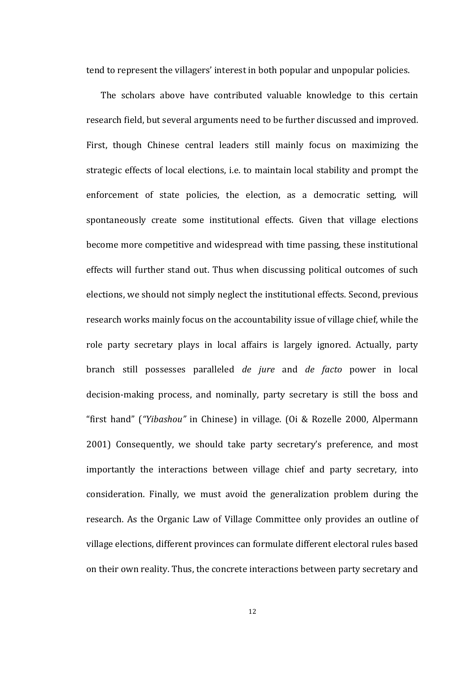tend to represent the villagers' interest in both popular and unpopular policies.

The scholars above have contributed valuable knowledge to this certain research field, but several arguments need to be further discussed and improved. First, though Chinese central leaders still mainly focus on maximizing the strategic effects of local elections, i.e. to maintain local stability and prompt the enforcement of state policies, the election, as a democratic setting, will spontaneously create some institutional effects. Given that village elections become more competitive and widespread with time passing, these institutional effects will further stand out. Thus when discussing political outcomes of such elections, we should not simply neglect the institutional effects. Second, previous research works mainly focus on the accountability issue of village chief, while the role party secretary plays in local affairs is largely ignored. Actually, party branch still possesses paralleled *de jure*  and *de facto* power in local decision-making process, and nominally, party secretary is still the boss and "first hand" (*"Yibashou"* in Chinese) in village. (Oi & Rozelle 2000, Alpermann 2001) Consequently, we should take party secretary's preference, and most importantly the interactions between village chief and party secretary, into consideration. Finally, we must avoid the generalization problem during the research. As the Organic Law of Village Committee only provides an outline of village elections, different provinces can formulate different electoral rules based on their own reality. Thus, the concrete interactions between party secretary and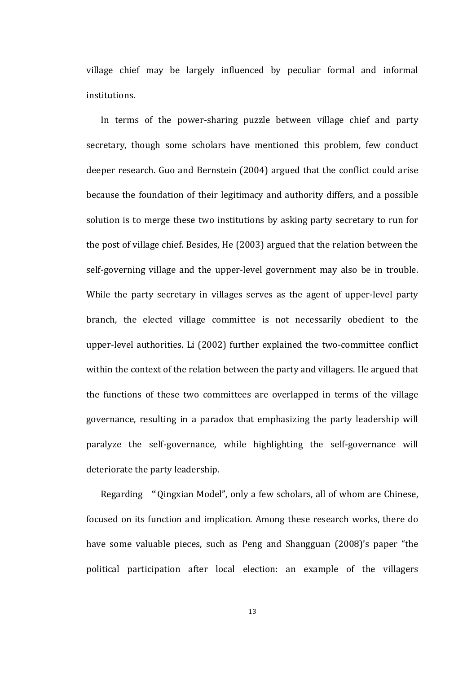village chief may be largely influenced by peculiar formal and informal institutions.

In terms of the power-sharing puzzle between village chief and party secretary, though some scholars have mentioned this problem, few conduct deeper research. Guo and Bernstein (2004) argued that the conflict could arise because the foundation of their legitimacy and authority differs, and a possible solution is to merge these two institutions by asking party secretary to run for the post of village chief. Besides, He (2003) argued that the relation between the self-governing village and the upper-level government may also be in trouble. While the party secretary in villages serves as the agent of upper-level party branch, the elected village committee is not necessarily obedient to the upper-level authorities. Li (2002) further explained the two-committee conflict within the context of the relation between the party and villagers. He argued that the functions of these two committees are overlapped in terms of the village governance, resulting in a paradox that emphasizing the party leadership will paralyze the self-governance, while highlighting the self-governance will deteriorate the party leadership.

Regarding "Qingxian Model", only a few scholars, all of whom are Chinese, focused on its function and implication. Among these research works, there do have some valuable pieces, such as Peng and Shangguan (2008)'s paper "the political participation after local election: an example of the villagers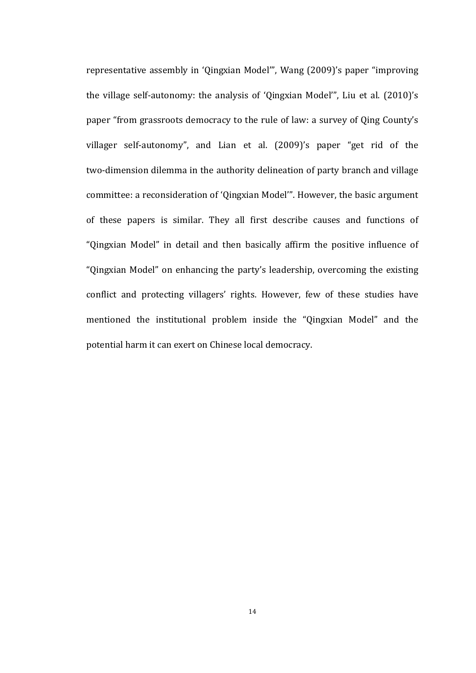representative assembly in 'Qingxian Model'", Wang (2009)'s paper "improving the village self-autonomy: the analysis of 'Qingxian Model'", Liu et al.  $(2010)$ 's paper "from grassroots democracy to the rule of law: a survey of Oing County's villager self-autonomy", and Lian et al. (2009)'s paper "get rid of the two-dimension dilemma in the authority delineation of party branch and village committee: a reconsideration of 'Qingxian Model'". However, the basic argument of these papers is similar. They all first describe causes and functions of "Qingxian Model" in detail and then basically affirm the positive influence of "Qingxian Model" on enhancing the party's leadership, overcoming the existing conflict and protecting villagers' rights. However, few of these studies have mentioned the institutional problem inside the "Qingxian Model" and the potential harm it can exert on Chinese local democracy.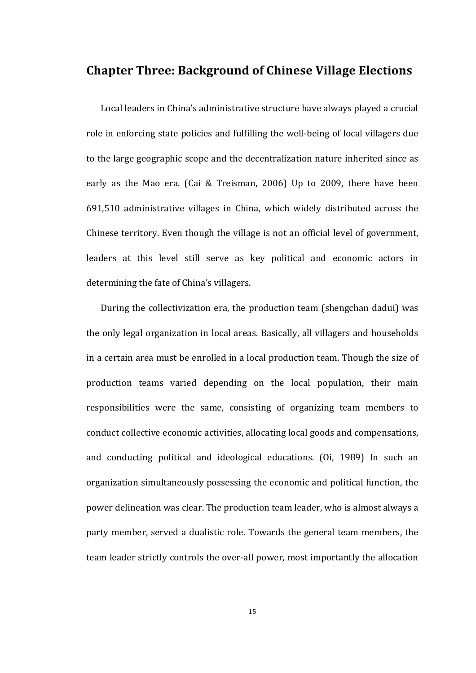### **Chapter Three: Background of Chinese Village Elections**

Local leaders in China's administrative structure have always played a crucial role in enforcing state policies and fulfilling the well-being of local villagers due to the large geographic scope and the decentralization nature inherited since as early as the Mao era. (Cai & Treisman, 2006) Up to 2009, there have been 691,510 administrative villages in China, which widely distributed across the Chinese territory. Even though the village is not an official level of government, leaders at this level still serve as key political and economic actors in determining the fate of China's villagers.

During the collectivization era, the production team (shengchan dadui) was the only legal organization in local areas. Basically, all villagers and households in a certain area must be enrolled in a local production team. Though the size of production teams varied depending on the local population, their main responsibilities were the same, consisting of organizing team members to conduct collective economic activities, allocating local goods and compensations, and conducting political and ideological educations. (Oi, 1989) In such an organization simultaneously possessing the economic and political function, the power delineation was clear. The production team leader, who is almost always a party member, served a dualistic role. Towards the general team members, the team leader strictly controls the over-all power, most importantly the allocation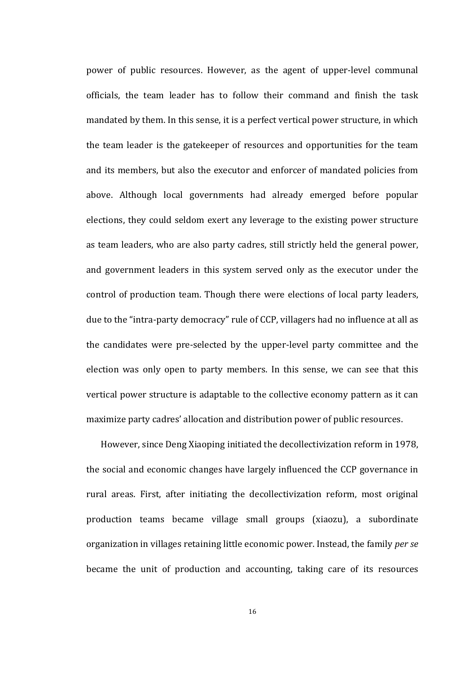power of public resources. However, as the agent of upper-level communal officials, the team leader has to follow their command and finish the task mandated by them. In this sense, it is a perfect vertical power structure, in which the team leader is the gatekeeper of resources and opportunities for the team and its members, but also the executor and enforcer of mandated policies from above. Although local governments had already emerged before popular elections, they could seldom exert any leverage to the existing power structure as team leaders, who are also party cadres, still strictly held the general power, and government leaders in this system served only as the executor under the control of production team. Though there were elections of local party leaders, due to the "intra-party democracy" rule of CCP, villagers had no influence at all as the candidates were pre-selected by the upper-level party committee and the election was only open to party members. In this sense, we can see that this vertical power structure is adaptable to the collective economy pattern as it can maximize party cadres' allocation and distribution power of public resources.

However, since Deng Xiaoping initiated the decollectivization reform in 1978, the social and economic changes have largely influenced the CCP governance in rural areas. First, after initiating the decollectivization reform, most original production teams became village small groups (xiaozu), a subordinate organization in villages retaining little economic power. Instead, the family *per se* became the unit of production and accounting, taking care of its resources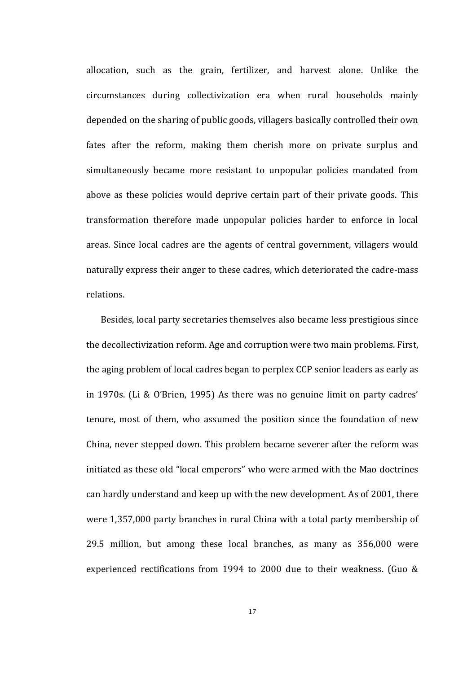allocation, such as the grain, fertilizer, and harvest alone. Unlike the circumstances during collectivization era when rural households mainly depended on the sharing of public goods, villagers basically controlled their own fates after the reform, making them cherish more on private surplus and simultaneously became more resistant to unpopular policies mandated from above as these policies would deprive certain part of their private goods. This transformation therefore made unpopular policies harder to enforce in local areas. Since local cadres are the agents of central government, villagers would naturally express their anger to these cadres, which deteriorated the cadre-mass relations. 

Besides, local party secretaries themselves also became less prestigious since the decollectivization reform. Age and corruption were two main problems. First, the aging problem of local cadres began to perplex CCP senior leaders as early as in 1970s. (Li & O'Brien, 1995) As there was no genuine limit on party cadres' tenure, most of them, who assumed the position since the foundation of new China, never stepped down. This problem became severer after the reform was initiated as these old "local emperors" who were armed with the Mao doctrines can hardly understand and keep up with the new development. As of 2001, there were 1,357,000 party branches in rural China with a total party membership of 29.5 million, but among these local branches, as many as 356,000 were experienced rectifications from 1994 to 2000 due to their weakness. (Guo  $&$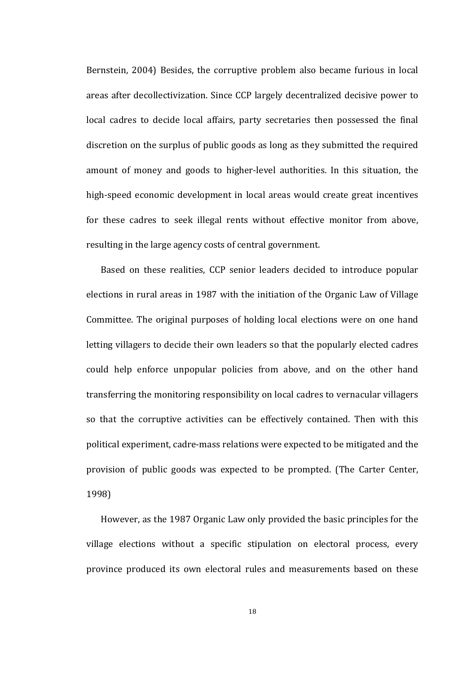Bernstein, 2004) Besides, the corruptive problem also became furious in local areas after decollectivization. Since CCP largely decentralized decisive power to local cadres to decide local affairs, party secretaries then possessed the final discretion on the surplus of public goods as long as they submitted the required amount of money and goods to higher-level authorities. In this situation, the high-speed economic development in local areas would create great incentives for these cadres to seek illegal rents without effective monitor from above, resulting in the large agency costs of central government.

Based on these realities, CCP senior leaders decided to introduce popular elections in rural areas in 1987 with the initiation of the Organic Law of Village Committee. The original purposes of holding local elections were on one hand letting villagers to decide their own leaders so that the popularly elected cadres could help enforce unpopular policies from above, and on the other hand transferring the monitoring responsibility on local cadres to vernacular villagers so that the corruptive activities can be effectively contained. Then with this political experiment, cadre-mass relations were expected to be mitigated and the provision of public goods was expected to be prompted. (The Carter Center, 1998)

However, as the 1987 Organic Law only provided the basic principles for the village elections without a specific stipulation on electoral process, every province produced its own electoral rules and measurements based on these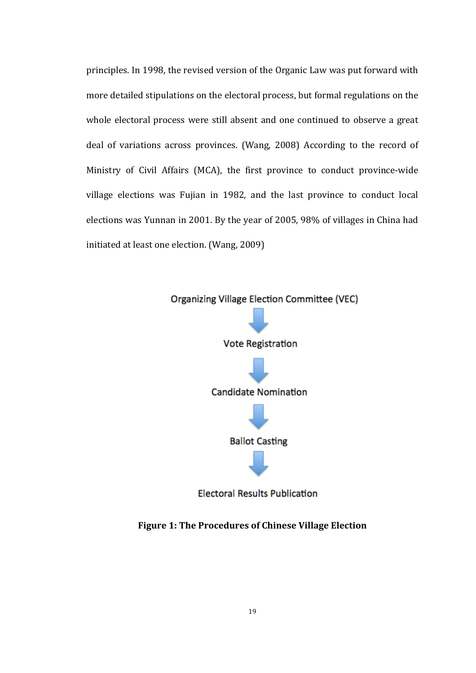principles. In 1998, the revised version of the Organic Law was put forward with more detailed stipulations on the electoral process, but formal regulations on the whole electoral process were still absent and one continued to observe a great deal of variations across provinces. (Wang, 2008) According to the record of Ministry of Civil Affairs (MCA), the first province to conduct province-wide village elections was Fujian in 1982, and the last province to conduct local elections was Yunnan in 2001. By the year of 2005, 98% of villages in China had initiated at least one election. (Wang, 2009)



**Electoral Results Publication** 

**Figure 1: The Procedures of Chinese Village Election**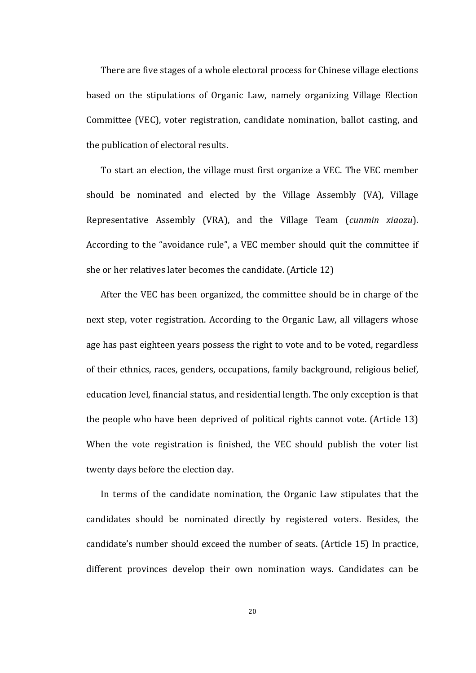There are five stages of a whole electoral process for Chinese village elections based on the stipulations of Organic Law, namely organizing Village Election Committee (VEC), voter registration, candidate nomination, ballot casting, and the publication of electoral results.

To start an election, the village must first organize a VEC. The VEC member should be nominated and elected by the Village Assembly (VA), Village Representative Assembly (VRA), and the Village Team (*cunmin xiaozu*). According to the "avoidance rule", a VEC member should quit the committee if she or her relatives later becomes the candidate.  $(A$ rticle  $12)$ 

After the VEC has been organized, the committee should be in charge of the next step, voter registration. According to the Organic Law, all villagers whose age has past eighteen years possess the right to vote and to be voted, regardless of their ethnics, races, genders, occupations, family background, religious belief, education level, financial status, and residential length. The only exception is that the people who have been deprived of political rights cannot vote. (Article  $13$ ) When the vote registration is finished, the VEC should publish the voter list twenty days before the election day.

In terms of the candidate nomination, the Organic Law stipulates that the candidates should be nominated directly by registered voters. Besides, the candidate's number should exceed the number of seats. (Article 15) In practice, different provinces develop their own nomination ways. Candidates can be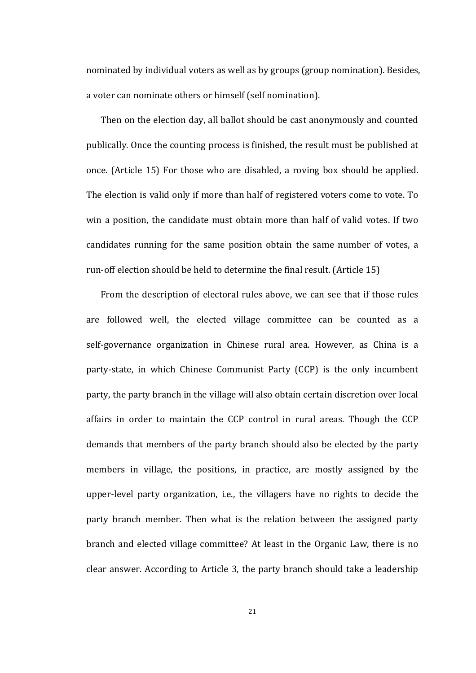nominated by individual voters as well as by groups (group nomination). Besides, a voter can nominate others or himself (self nomination).

Then on the election day, all ballot should be cast anonymously and counted publically. Once the counting process is finished, the result must be published at once. (Article 15) For those who are disabled, a roving box should be applied. The election is valid only if more than half of registered voters come to vote. To win a position, the candidate must obtain more than half of valid votes. If two candidates running for the same position obtain the same number of votes, a run-off election should be held to determine the final result. (Article 15)

From the description of electoral rules above, we can see that if those rules are followed well, the elected village committee can be counted as a self-governance organization in Chinese rural area. However, as China is a party-state, in which Chinese Communist Party (CCP) is the only incumbent party, the party branch in the village will also obtain certain discretion over local affairs in order to maintain the CCP control in rural areas. Though the CCP demands that members of the party branch should also be elected by the party members in village, the positions, in practice, are mostly assigned by the upper-level party organization, i.e., the villagers have no rights to decide the party branch member. Then what is the relation between the assigned party branch and elected village committee? At least in the Organic Law, there is no clear answer. According to Article 3, the party branch should take a leadership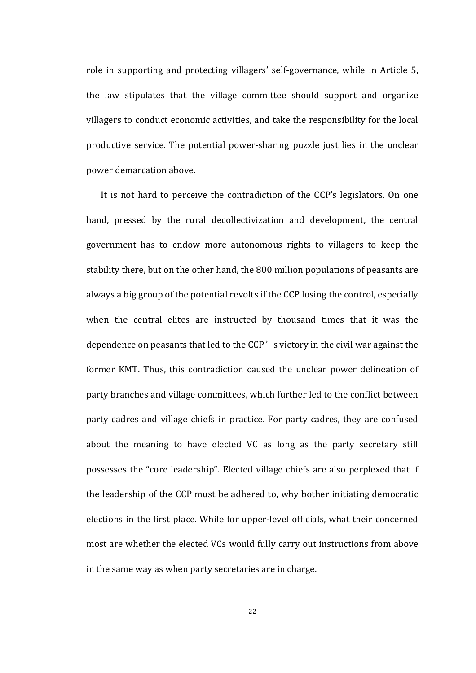role in supporting and protecting villagers' self-governance, while in Article 5, the law stipulates that the village committee should support and organize villagers to conduct economic activities, and take the responsibility for the local productive service. The potential power-sharing puzzle just lies in the unclear power demarcation above.

It is not hard to perceive the contradiction of the CCP's legislators. On one hand, pressed by the rural decollectivization and development, the central government has to endow more autonomous rights to villagers to keep the stability there, but on the other hand, the 800 million populations of peasants are always a big group of the potential revolts if the CCP losing the control, especially when the central elites are instructed by thousand times that it was the dependence on peasants that led to the CCP' s victory in the civil war against the former KMT. Thus, this contradiction caused the unclear power delineation of party branches and village committees, which further led to the conflict between party cadres and village chiefs in practice. For party cadres, they are confused about the meaning to have elected VC as long as the party secretary still possesses the "core leadership". Elected village chiefs are also perplexed that if the leadership of the CCP must be adhered to, why bother initiating democratic elections in the first place. While for upper-level officials, what their concerned most are whether the elected VCs would fully carry out instructions from above in the same way as when party secretaries are in charge.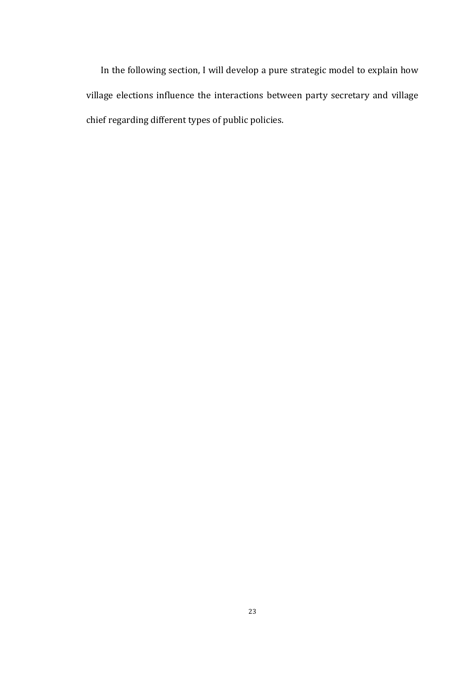In the following section, I will develop a pure strategic model to explain how village elections influence the interactions between party secretary and village chief regarding different types of public policies.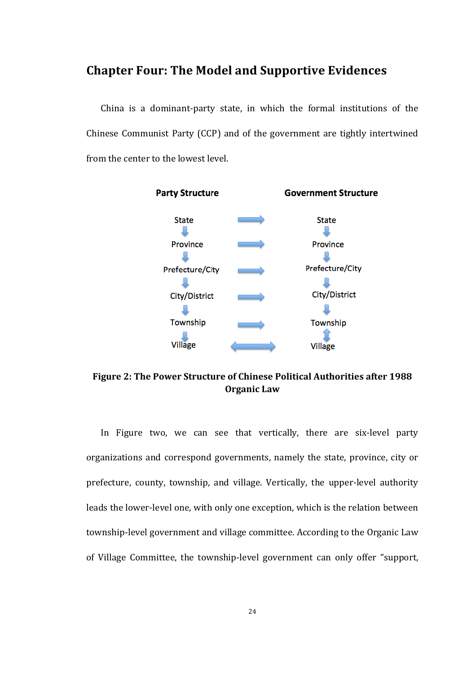## **Chapter Four: The Model and Supportive Evidences**

China is a dominant-party state, in which the formal institutions of the Chinese Communist Party (CCP) and of the government are tightly intertwined from the center to the lowest level.



Figure 2: The Power Structure of Chinese Political Authorities after 1988 **Organic Law** 

In Figure two, we can see that vertically, there are six-level party organizations and correspond governments, namely the state, province, city or prefecture, county, township, and village. Vertically, the upper-level authority leads the lower-level one, with only one exception, which is the relation between township-level government and village committee. According to the Organic Law of Village Committee, the township-level government can only offer "support,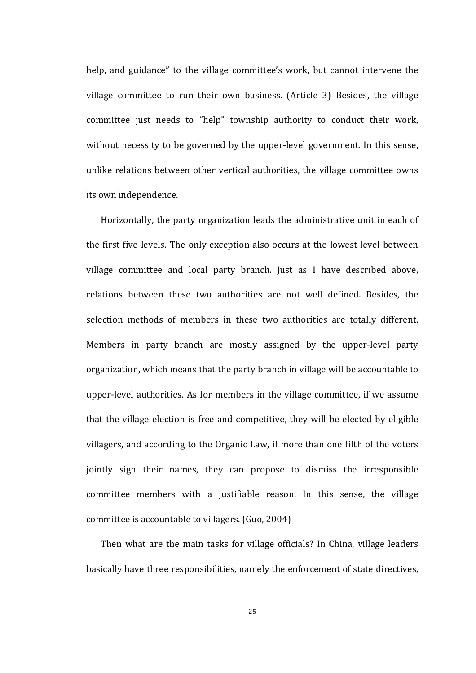help, and guidance" to the village committee's work, but cannot intervene the village committee to run their own business. (Article 3) Besides, the village committee just needs to "help" township authority to conduct their work, without necessity to be governed by the upper-level government. In this sense, unlike relations between other vertical authorities, the village committee owns its own independence.

Horizontally, the party organization leads the administrative unit in each of the first five levels. The only exception also occurs at the lowest level between village committee and local party branch. Just as I have described above, relations between these two authorities are not well defined. Besides, the selection methods of members in these two authorities are totally different. Members in party branch are mostly assigned by the upper-level party organization, which means that the party branch in village will be accountable to upper-level authorities. As for members in the village committee, if we assume that the village election is free and competitive, they will be elected by eligible villagers, and according to the Organic Law, if more than one fifth of the voters jointly sign their names, they can propose to dismiss the irresponsible committee members with a justifiable reason. In this sense, the village committee is accountable to villagers. (Guo, 2004)

Then what are the main tasks for village officials? In China, village leaders basically have three responsibilities, namely the enforcement of state directives,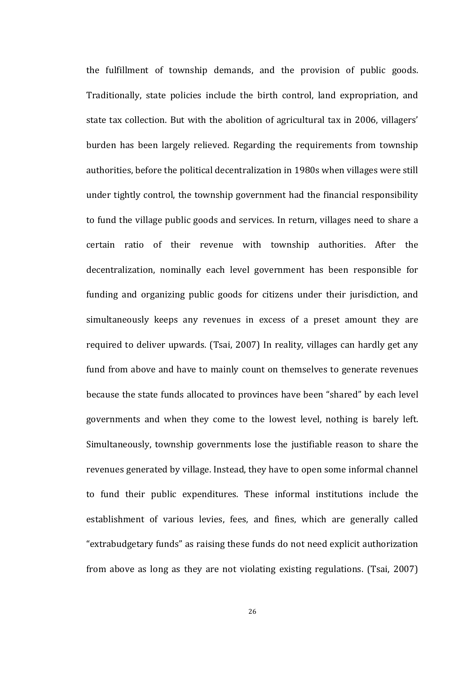the fulfillment of township demands, and the provision of public goods. Traditionally, state policies include the birth control, land expropriation, and state tax collection. But with the abolition of agricultural tax in 2006, villagers' burden has been largely relieved. Regarding the requirements from township authorities, before the political decentralization in 1980s when villages were still under tightly control, the township government had the financial responsibility to fund the village public goods and services. In return, villages need to share a certain ratio of their revenue with township authorities. After the decentralization, nominally each level government has been responsible for funding and organizing public goods for citizens under their jurisdiction, and simultaneously keeps any revenues in excess of a preset amount they are required to deliver upwards. (Tsai, 2007) In reality, villages can hardly get any fund from above and have to mainly count on themselves to generate revenues because the state funds allocated to provinces have been "shared" by each level governments and when they come to the lowest level, nothing is barely left. Simultaneously, township governments lose the justifiable reason to share the revenues generated by village. Instead, they have to open some informal channel to fund their public expenditures. These informal institutions include the establishment of various levies, fees, and fines, which are generally called "extrabudgetary funds" as raising these funds do not need explicit authorization from above as long as they are not violating existing regulations. (Tsai, 2007)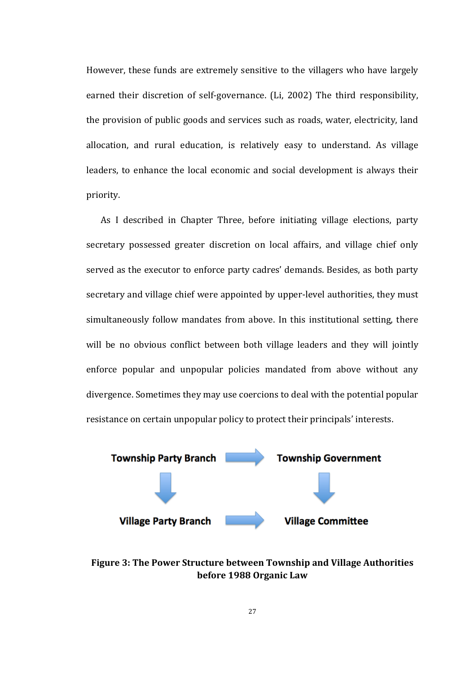However, these funds are extremely sensitive to the villagers who have largely earned their discretion of self-governance. (Li, 2002) The third responsibility, the provision of public goods and services such as roads, water, electricity, land allocation, and rural education, is relatively easy to understand. As village leaders, to enhance the local economic and social development is always their priority.

As I described in Chapter Three, before initiating village elections, party secretary possessed greater discretion on local affairs, and village chief only served as the executor to enforce party cadres' demands. Besides, as both party secretary and village chief were appointed by upper-level authorities, they must simultaneously follow mandates from above. In this institutional setting, there will be no obvious conflict between both village leaders and they will jointly enforce popular and unpopular policies mandated from above without any divergence. Sometimes they may use coercions to deal with the potential popular resistance on certain unpopular policy to protect their principals' interests.



**Figure 3: The Power Structure between Township and Village Authorities before 1988 Organic Law**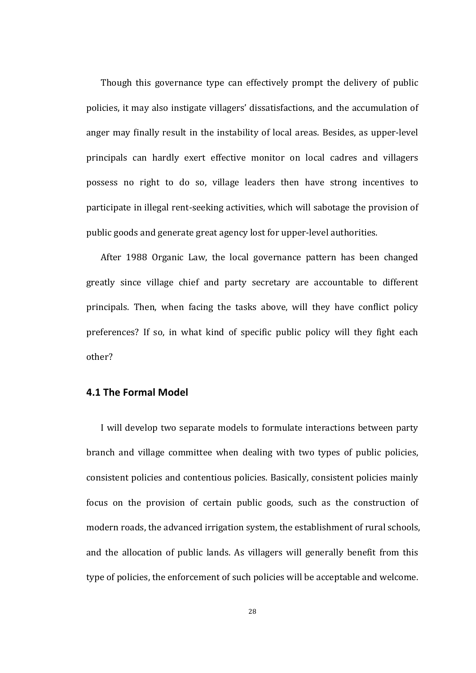Though this governance type can effectively prompt the delivery of public policies, it may also instigate villagers' dissatisfactions, and the accumulation of anger may finally result in the instability of local areas. Besides, as upper-level principals can hardly exert effective monitor on local cadres and villagers possess no right to do so, village leaders then have strong incentives to participate in illegal rent-seeking activities, which will sabotage the provision of public goods and generate great agency lost for upper-level authorities.

After 1988 Organic Law, the local governance pattern has been changed greatly since village chief and party secretary are accountable to different principals. Then, when facing the tasks above, will they have conflict policy preferences? If so, in what kind of specific public policy will they fight each other?

#### **4.1 The Formal Model**

I will develop two separate models to formulate interactions between party branch and village committee when dealing with two types of public policies, consistent policies and contentious policies. Basically, consistent policies mainly focus on the provision of certain public goods, such as the construction of modern roads, the advanced irrigation system, the establishment of rural schools, and the allocation of public lands. As villagers will generally benefit from this type of policies, the enforcement of such policies will be acceptable and welcome.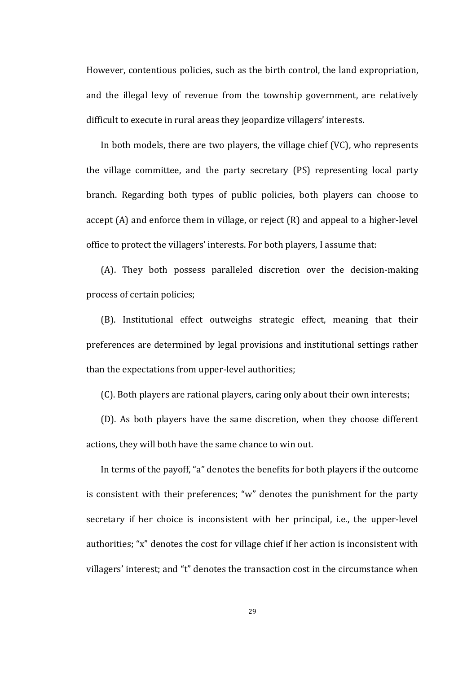However, contentious policies, such as the birth control, the land expropriation, and the illegal levy of revenue from the township government, are relatively difficult to execute in rural areas they jeopardize villagers' interests.

In both models, there are two players, the village chief  $(VC)$ , who represents the village committee, and the party secretary (PS) representing local party branch. Regarding both types of public policies, both players can choose to accept  $(A)$  and enforce them in village, or reject  $(R)$  and appeal to a higher-level office to protect the villagers' interests. For both players, I assume that:

(A). They both possess paralleled discretion over the decision-making process of certain policies;

(B). Institutional effect outweighs strategic effect, meaning that their preferences are determined by legal provisions and institutional settings rather than the expectations from upper-level authorities;

(C). Both players are rational players, caring only about their own interests;

(D). As both players have the same discretion, when they choose different actions, they will both have the same chance to win out.

In terms of the payoff, "a" denotes the benefits for both players if the outcome is consistent with their preferences; "w" denotes the punishment for the party secretary if her choice is inconsistent with her principal, i.e., the upper-level authorities; "x" denotes the cost for village chief if her action is inconsistent with villagers' interest; and "t" denotes the transaction cost in the circumstance when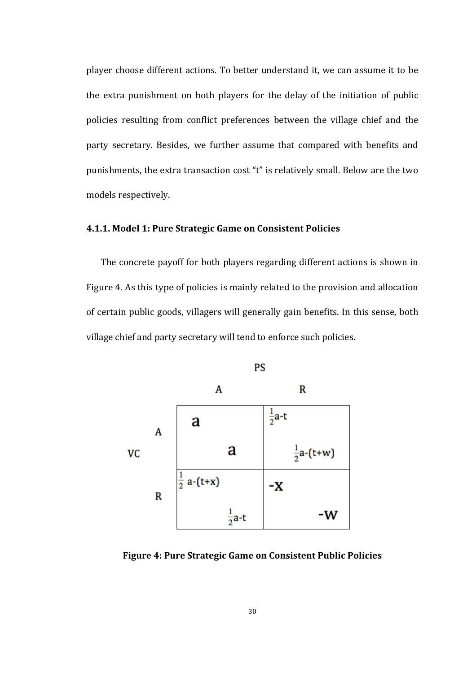player choose different actions. To better understand it, we can assume it to be the extra punishment on both players for the delay of the initiation of public policies resulting from conflict preferences between the village chief and the party secretary. Besides, we further assume that compared with benefits and punishments, the extra transaction cost "t" is relatively small. Below are the two models respectively.

### **4.1.1. Model 1: Pure Strategic Game on Consistent Policies**

The concrete payoff for both players regarding different actions is shown in Figure 4. As this type of policies is mainly related to the provision and allocation of certain public goods, villagers will generally gain benefits. In this sense, both village chief and party secretary will tend to enforce such policies.



**Figure 4: Pure Strategic Game on Consistent Public Policies**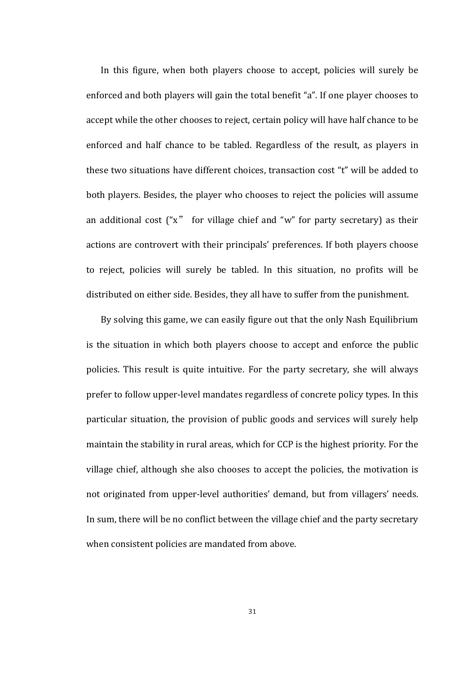In this figure, when both players choose to accept, policies will surely be enforced and both players will gain the total benefit "a". If one player chooses to accept while the other chooses to reject, certain policy will have half chance to be enforced and half chance to be tabled. Regardless of the result, as players in these two situations have different choices, transaction cost "t" will be added to both players. Besides, the player who chooses to reject the policies will assume an additional cost  $("x"$  for village chief and "w" for party secretary) as their actions are controvert with their principals' preferences. If both players choose to reject, policies will surely be tabled. In this situation, no profits will be distributed on either side. Besides, they all have to suffer from the punishment.

By solving this game, we can easily figure out that the only Nash Equilibrium is the situation in which both players choose to accept and enforce the public policies. This result is quite intuitive. For the party secretary, she will always prefer to follow upper-level mandates regardless of concrete policy types. In this particular situation, the provision of public goods and services will surely help maintain the stability in rural areas, which for CCP is the highest priority. For the village chief, although she also chooses to accept the policies, the motivation is not originated from upper-level authorities' demand, but from villagers' needs. In sum, there will be no conflict between the village chief and the party secretary when consistent policies are mandated from above.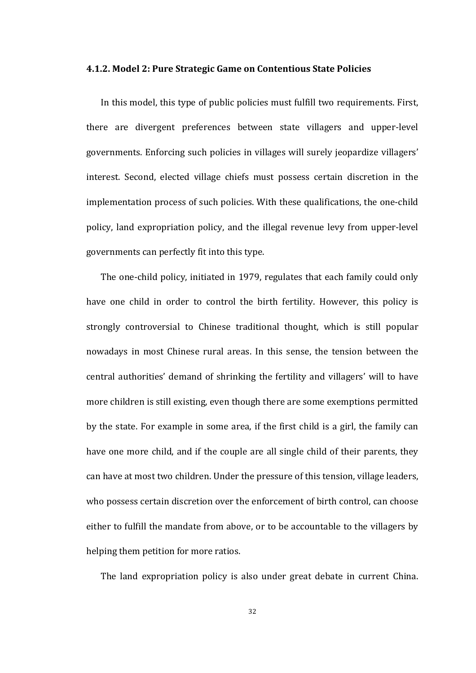#### **4.1.2. Model 2: Pure Strategic Game on Contentious State Policies**

In this model, this type of public policies must fulfill two requirements. First, there are divergent preferences between state villagers and upper-level governments. Enforcing such policies in villages will surely jeopardize villagers' interest. Second, elected village chiefs must possess certain discretion in the implementation process of such policies. With these qualifications, the one-child policy, land expropriation policy, and the illegal revenue levy from upper-level governments can perfectly fit into this type.

The one-child policy, initiated in 1979, regulates that each family could only have one child in order to control the birth fertility. However, this policy is strongly controversial to Chinese traditional thought, which is still popular nowadays in most Chinese rural areas. In this sense, the tension between the central authorities' demand of shrinking the fertility and villagers' will to have more children is still existing, even though there are some exemptions permitted by the state. For example in some area, if the first child is a girl, the family can have one more child, and if the couple are all single child of their parents, they can have at most two children. Under the pressure of this tension, village leaders, who possess certain discretion over the enforcement of birth control, can choose either to fulfill the mandate from above, or to be accountable to the villagers by helping them petition for more ratios.

The land expropriation policy is also under great debate in current China.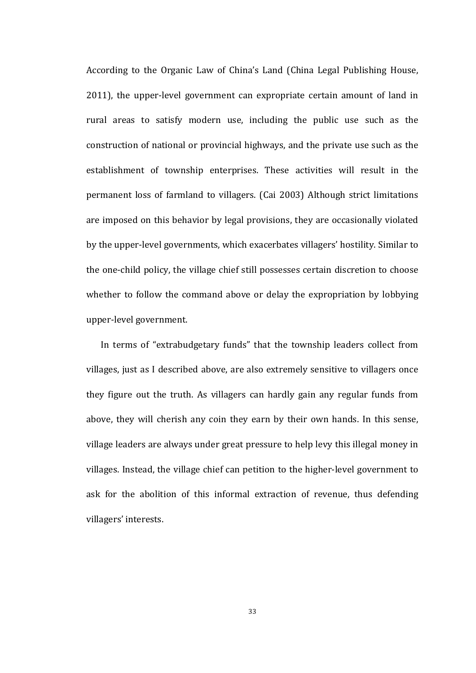According to the Organic Law of China's Land (China Legal Publishing House, 2011), the upper-level government can expropriate certain amount of land in rural areas to satisfy modern use, including the public use such as the construction of national or provincial highways, and the private use such as the establishment of township enterprises. These activities will result in the permanent loss of farmland to villagers. (Cai 2003) Although strict limitations are imposed on this behavior by legal provisions, they are occasionally violated by the upper-level governments, which exacerbates villagers' hostility. Similar to the one-child policy, the village chief still possesses certain discretion to choose whether to follow the command above or delay the expropriation by lobbying upper-level government.

In terms of "extrabudgetary funds" that the township leaders collect from villages, just as I described above, are also extremely sensitive to villagers once they figure out the truth. As villagers can hardly gain any regular funds from above, they will cherish any coin they earn by their own hands. In this sense, village leaders are always under great pressure to help levy this illegal money in villages. Instead, the village chief can petition to the higher-level government to ask for the abolition of this informal extraction of revenue, thus defending villagers' interests.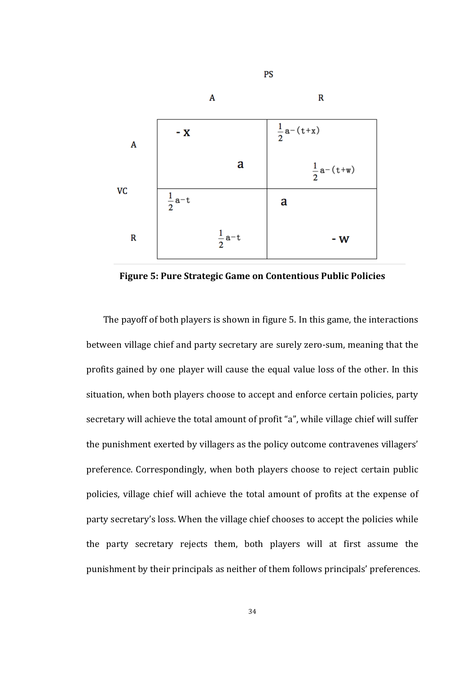

PS

**Figure 5: Pure Strategic Game on Contentious Public Policies** 

The payoff of both players is shown in figure 5. In this game, the interactions between village chief and party secretary are surely zero-sum, meaning that the profits gained by one player will cause the equal value loss of the other. In this situation, when both players choose to accept and enforce certain policies, party secretary will achieve the total amount of profit "a", while village chief will suffer the punishment exerted by villagers as the policy outcome contravenes villagers' preference. Correspondingly, when both players choose to reject certain public policies, village chief will achieve the total amount of profits at the expense of party secretary's loss. When the village chief chooses to accept the policies while the party secretary rejects them, both players will at first assume the punishment by their principals as neither of them follows principals' preferences.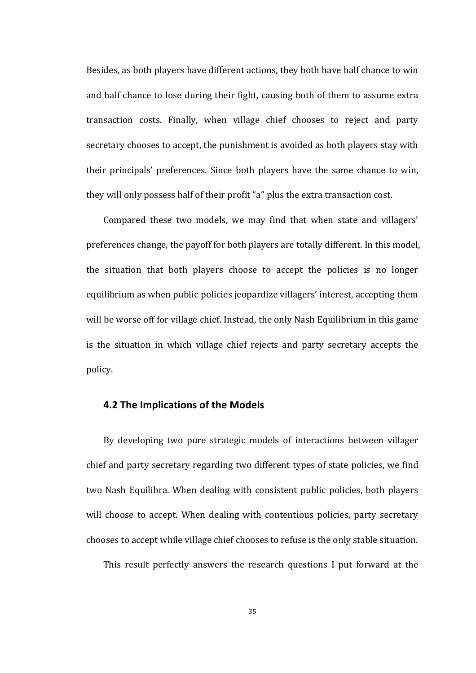Besides, as both players have different actions, they both have half chance to win and half chance to lose during their fight, causing both of them to assume extra transaction costs. Finally, when village chief chooses to reject and party secretary chooses to accept, the punishment is avoided as both players stay with their principals' preferences. Since both players have the same chance to win, they will only possess half of their profit "a" plus the extra transaction cost.

Compared these two models, we may find that when state and villagers' preferences change, the payoff for both players are totally different. In this model, the situation that both players choose to accept the policies is no longer equilibrium as when public policies jeopardize villagers' interest, accepting them will be worse off for village chief. Instead, the only Nash Equilibrium in this game is the situation in which village chief rejects and party secretary accepts the policy.

#### **4.2 The Implications of the Models**

By developing two pure strategic models of interactions between villager chief and party secretary regarding two different types of state policies, we find two Nash Equilibra. When dealing with consistent public policies, both players will choose to accept. When dealing with contentious policies, party secretary chooses to accept while village chief chooses to refuse is the only stable situation.

This result perfectly answers the research questions I put forward at the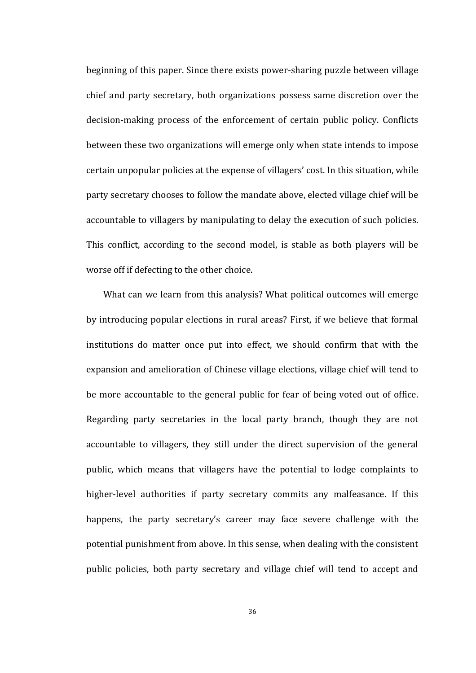beginning of this paper. Since there exists power-sharing puzzle between village chief and party secretary, both organizations possess same discretion over the decision-making process of the enforcement of certain public policy. Conflicts between these two organizations will emerge only when state intends to impose certain unpopular policies at the expense of villagers' cost. In this situation, while party secretary chooses to follow the mandate above, elected village chief will be accountable to villagers by manipulating to delay the execution of such policies. This conflict, according to the second model, is stable as both players will be worse off if defecting to the other choice.

What can we learn from this analysis? What political outcomes will emerge by introducing popular elections in rural areas? First, if we believe that formal institutions do matter once put into effect, we should confirm that with the expansion and amelioration of Chinese village elections, village chief will tend to be more accountable to the general public for fear of being voted out of office. Regarding party secretaries in the local party branch, though they are not accountable to villagers, they still under the direct supervision of the general public, which means that villagers have the potential to lodge complaints to higher-level authorities if party secretary commits any malfeasance. If this happens, the party secretary's career may face severe challenge with the potential punishment from above. In this sense, when dealing with the consistent public policies, both party secretary and village chief will tend to accept and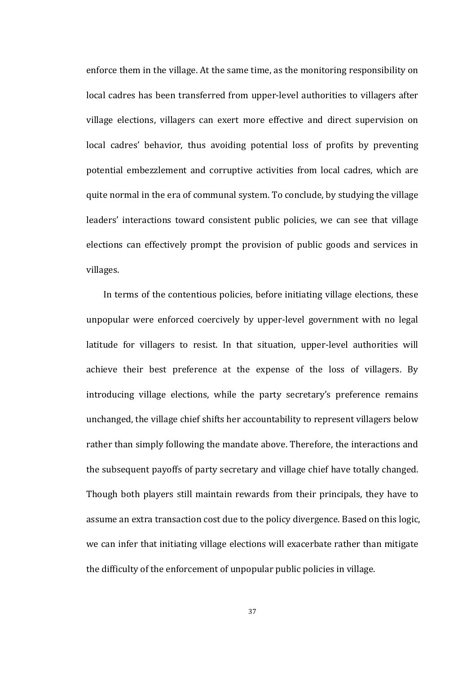enforce them in the village. At the same time, as the monitoring responsibility on local cadres has been transferred from upper-level authorities to villagers after village elections, villagers can exert more effective and direct supervision on local cadres' behavior, thus avoiding potential loss of profits by preventing potential embezzlement and corruptive activities from local cadres, which are quite normal in the era of communal system. To conclude, by studying the village leaders' interactions toward consistent public policies, we can see that village elections can effectively prompt the provision of public goods and services in villages. 

In terms of the contentious policies, before initiating village elections, these unpopular were enforced coercively by upper-level government with no legal latitude for villagers to resist. In that situation, upper-level authorities will achieve their best preference at the expense of the loss of villagers. By introducing village elections, while the party secretary's preference remains unchanged, the village chief shifts her accountability to represent villagers below rather than simply following the mandate above. Therefore, the interactions and the subsequent payoffs of party secretary and village chief have totally changed. Though both players still maintain rewards from their principals, they have to assume an extra transaction cost due to the policy divergence. Based on this logic, we can infer that initiating village elections will exacerbate rather than mitigate the difficulty of the enforcement of unpopular public policies in village.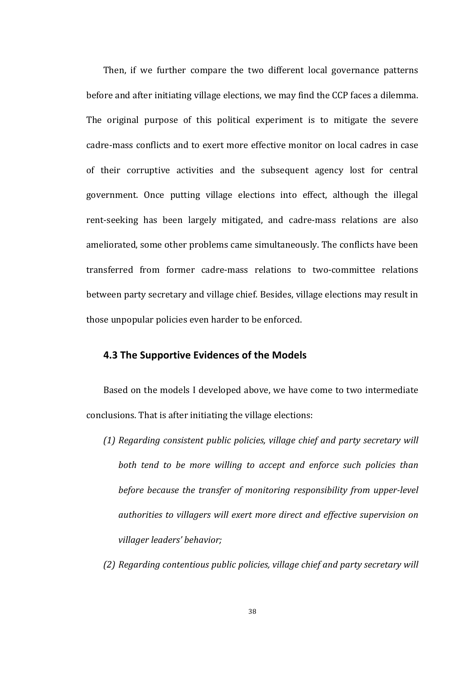Then, if we further compare the two different local governance patterns before and after initiating village elections, we may find the CCP faces a dilemma. The original purpose of this political experiment is to mitigate the severe cadre-mass conflicts and to exert more effective monitor on local cadres in case of their corruptive activities and the subsequent agency lost for central government. Once putting village elections into effect, although the illegal rent-seeking has been largely mitigated, and cadre-mass relations are also ameliorated, some other problems came simultaneously. The conflicts have been transferred from former cadre-mass relations to two-committee relations between party secretary and village chief. Besides, village elections may result in those unpopular policies even harder to be enforced.

## **4.3 The Supportive Evidences of the Models**

Based on the models I developed above, we have come to two intermediate conclusions. That is after initiating the village elections:

- *(1) Regarding consistent public policies, village chief and party secretary will both tend to be more willing to accept and enforce such policies than before because the transfer of monitoring responsibility from upper-level authorities to villagers will exert more direct and effective supervision on villager leaders' behavior;*
- *(2)* Regarding contentious public policies, village chief and party secretary will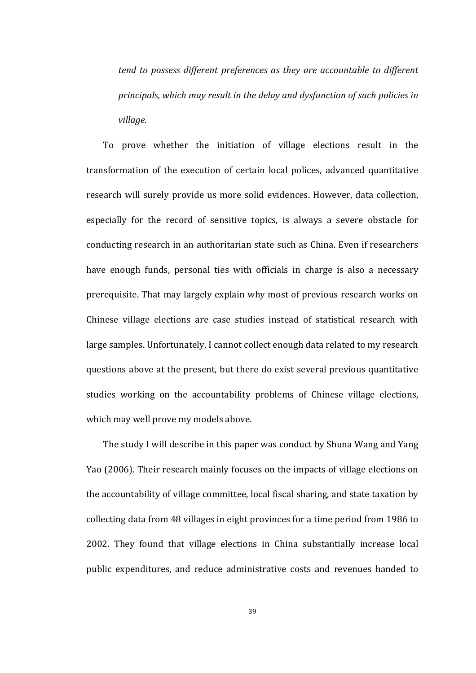*tend* to possess different preferences as they are accountable to different *principals, which may result in the delay and dysfunction of such policies in village.*

To prove whether the initiation of village elections result in the transformation of the execution of certain local polices, advanced quantitative research will surely provide us more solid evidences. However, data collection, especially for the record of sensitive topics, is always a severe obstacle for conducting research in an authoritarian state such as China. Even if researchers have enough funds, personal ties with officials in charge is also a necessary prerequisite. That may largely explain why most of previous research works on Chinese village elections are case studies instead of statistical research with large samples. Unfortunately, I cannot collect enough data related to my research questions above at the present, but there do exist several previous quantitative studies working on the accountability problems of Chinese village elections, which may well prove my models above.

The study I will describe in this paper was conduct by Shuna Wang and Yang Yao (2006). Their research mainly focuses on the impacts of village elections on the accountability of village committee, local fiscal sharing, and state taxation by collecting data from 48 villages in eight provinces for a time period from 1986 to 2002. They found that village elections in China substantially increase local public expenditures, and reduce administrative costs and revenues handed to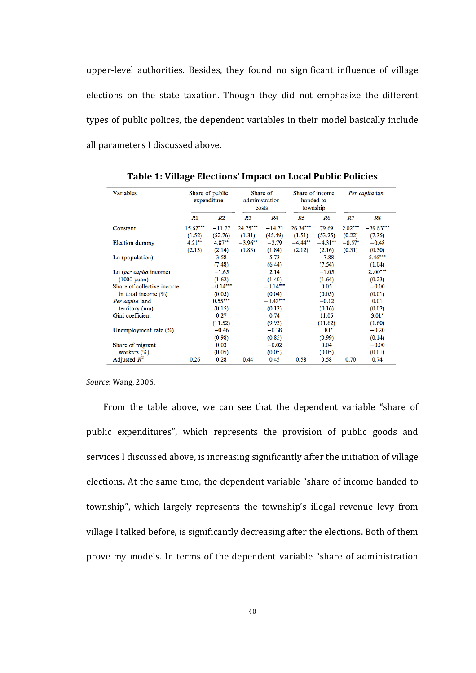upper-level authorities. Besides, they found no significant influence of village elections on the state taxation. Though they did not emphasize the different types of public polices, the dependent variables in their model basically include all parameters I discussed above.

| Variables                  | Share of public<br>expenditure |                | Share of<br>administration<br>costs |             | Share of income<br>handed to<br>township |           | Per capita tax |             |
|----------------------------|--------------------------------|----------------|-------------------------------------|-------------|------------------------------------------|-----------|----------------|-------------|
|                            | R1                             | R <sub>2</sub> | R <sub>3</sub>                      | R4          | R5                                       | R6        | R7             | R8          |
| Constant                   | $15.67***$                     | $-11.77$       | 24.75***                            | $-14.71$    | 26.34***                                 | 79.69     | $2.02***$      | $-39.83***$ |
|                            | (1.52)                         | (52.76)        | (1.31)                              | (45.49)     | (1.51)                                   | (53.25)   | (0.22)         | (7.35)      |
| Election dummy             | $4.21**$                       | $4.87**$       | $-3.96$ **                          | $-2.79$     | $-4.44**$                                | $-4.31**$ | $-0.57*$       | $-0.48$     |
|                            | (2.13)                         | (2.14)         | (1.83)                              | (1.84)      | (2.12)                                   | (2.16)    | (0.31)         | (0.30)      |
| Ln (population)            |                                | 3.58           |                                     | 5.73        |                                          | $-7.88$   |                | $5.46***$   |
|                            |                                | (7.48)         |                                     | (6.44)      |                                          | (7.54)    |                | (1.04)      |
| Ln (per capita income)     |                                | $-1.65$        |                                     | 2.14        |                                          | $-1.05$   |                | $2.00***$   |
| $(1000$ yuan)              |                                | (1.62)         |                                     | (1.40)      |                                          | (1.64)    |                | (0.23)      |
| Share of collective income |                                | $-0.14***$     |                                     | $-0.14$ *** |                                          | 0.05      |                | $-0.00$     |
| in total income $(\%)$     |                                | (0.05)         |                                     | (0.04)      |                                          | (0.05)    |                | (0.01)      |
| Per capita land            |                                | $0.55***$      |                                     | $-0.43***$  |                                          | $-0.12$   |                | 0.01        |
| territory (mu)             |                                | (0.15)         |                                     | (0.13)      |                                          | (0.16)    |                | (0.02)      |
| Gini coefficient           |                                | 0.27           |                                     | 0.74        |                                          | 11.05     |                | $3.01*$     |
|                            |                                | (11.52)        |                                     | (9.93)      |                                          | (11.62)   |                | (1.60)      |
| Unemployment rate $(\% )$  |                                | $-0.46$        |                                     | $-0.38$     |                                          | $1.81*$   |                | $-0.20$     |
|                            |                                | (0.98)         |                                     | (0.85)      |                                          | (0.99)    |                | (0.14)      |
| Share of migrant           |                                | 0.03           |                                     | $-0.02$     |                                          | 0.04      |                | $-0.00$     |
| workers $(\% )$            |                                | (0.05)         |                                     | (0.05)      |                                          | (0.05)    |                | (0.01)      |
| Adjusted $R^2$             | 0.26                           | 0.28           | 0.44                                | 0.45        | 0.58                                     | 0.58      | 0.70           | 0.74        |

**Table 1: Village Elections' Impact on Local Public Policies** 

*Source*: Wang, 2006.

From the table above, we can see that the dependent variable "share of public expenditures", which represents the provision of public goods and services I discussed above, is increasing significantly after the initiation of village elections. At the same time, the dependent variable "share of income handed to township", which largely represents the township's illegal revenue levy from village I talked before, is significantly decreasing after the elections. Both of them prove my models. In terms of the dependent variable "share of administration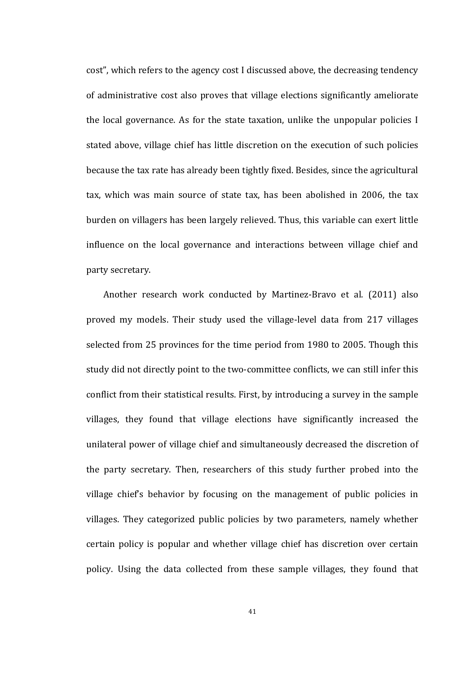cost", which refers to the agency cost I discussed above, the decreasing tendency of administrative cost also proves that village elections significantly ameliorate the local governance. As for the state taxation, unlike the unpopular policies I stated above, village chief has little discretion on the execution of such policies because the tax rate has already been tightly fixed. Besides, since the agricultural tax, which was main source of state tax, has been abolished in 2006, the tax burden on villagers has been largely relieved. Thus, this variable can exert little influence on the local governance and interactions between village chief and party secretary.

Another research work conducted by Martinez-Bravo et al. (2011) also proved my models. Their study used the village-level data from 217 villages selected from 25 provinces for the time period from 1980 to 2005. Though this study did not directly point to the two-committee conflicts, we can still infer this conflict from their statistical results. First, by introducing a survey in the sample villages, they found that village elections have significantly increased the unilateral power of village chief and simultaneously decreased the discretion of the party secretary. Then, researchers of this study further probed into the village chief's behavior by focusing on the management of public policies in villages. They categorized public policies by two parameters, namely whether certain policy is popular and whether village chief has discretion over certain policy. Using the data collected from these sample villages, they found that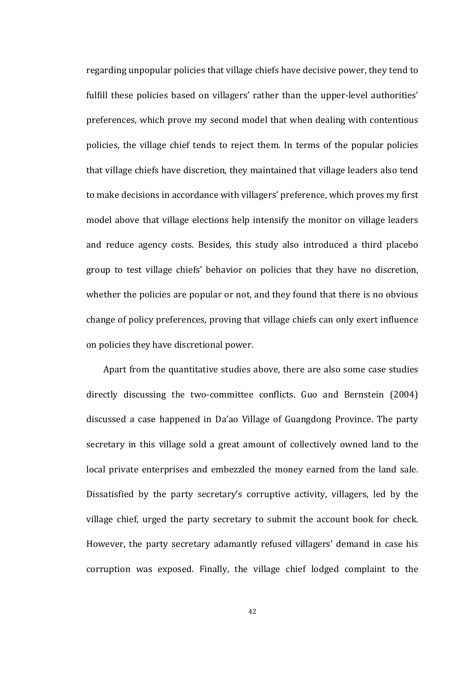regarding unpopular policies that village chiefs have decisive power, they tend to fulfill these policies based on villagers' rather than the upper-level authorities' preferences, which prove my second model that when dealing with contentious policies, the village chief tends to reject them. In terms of the popular policies that village chiefs have discretion, they maintained that village leaders also tend to make decisions in accordance with villagers' preference, which proves my first model above that village elections help intensify the monitor on village leaders and reduce agency costs. Besides, this study also introduced a third placebo group to test village chiefs' behavior on policies that they have no discretion, whether the policies are popular or not, and they found that there is no obvious change of policy preferences, proving that village chiefs can only exert influence on policies they have discretional power.

Apart from the quantitative studies above, there are also some case studies directly discussing the two-committee conflicts. Guo and Bernstein (2004) discussed a case happened in Da'ao Village of Guangdong Province. The party secretary in this village sold a great amount of collectively owned land to the local private enterprises and embezzled the money earned from the land sale. Dissatisfied by the party secretary's corruptive activity, villagers, led by the village chief, urged the party secretary to submit the account book for check. However, the party secretary adamantly refused villagers' demand in case his corruption was exposed. Finally, the village chief lodged complaint to the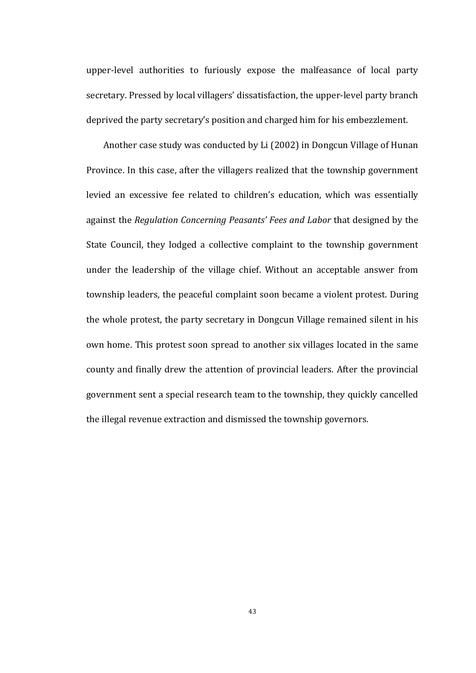upper-level authorities to furiously expose the malfeasance of local party secretary. Pressed by local villagers' dissatisfaction, the upper-level party branch deprived the party secretary's position and charged him for his embezzlement.

Another case study was conducted by Li (2002) in Dongcun Village of Hunan Province. In this case, after the villagers realized that the township government levied an excessive fee related to children's education, which was essentially against the *Regulation Concerning Peasants' Fees and Labor* that designed by the State Council, they lodged a collective complaint to the township government under the leadership of the village chief. Without an acceptable answer from township leaders, the peaceful complaint soon became a violent protest. During the whole protest, the party secretary in Dongcun Village remained silent in his own home. This protest soon spread to another six villages located in the same county and finally drew the attention of provincial leaders. After the provincial government sent a special research team to the township, they quickly cancelled the illegal revenue extraction and dismissed the township governors.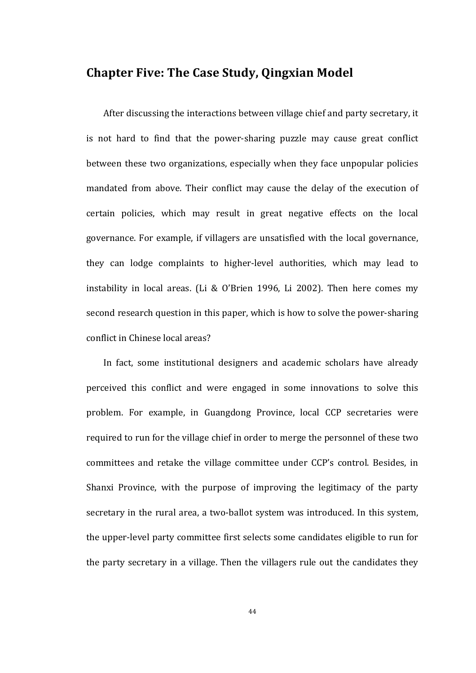## **Chapter Five: The Case Study, Qingxian Model**

After discussing the interactions between village chief and party secretary, it is not hard to find that the power-sharing puzzle may cause great conflict between these two organizations, especially when they face unpopular policies mandated from above. Their conflict may cause the delay of the execution of certain policies, which may result in great negative effects on the local governance. For example, if villagers are unsatisfied with the local governance, they can lodge complaints to higher-level authorities, which may lead to instability in local areas. (Li & O'Brien 1996, Li 2002). Then here comes my second research question in this paper, which is how to solve the power-sharing conflict in Chinese local areas?

In fact, some institutional designers and academic scholars have already perceived this conflict and were engaged in some innovations to solve this problem. For example, in Guangdong Province, local CCP secretaries were required to run for the village chief in order to merge the personnel of these two committees and retake the village committee under CCP's control. Besides, in Shanxi Province, with the purpose of improving the legitimacy of the party secretary in the rural area, a two-ballot system was introduced. In this system, the upper-level party committee first selects some candidates eligible to run for the party secretary in a village. Then the villagers rule out the candidates they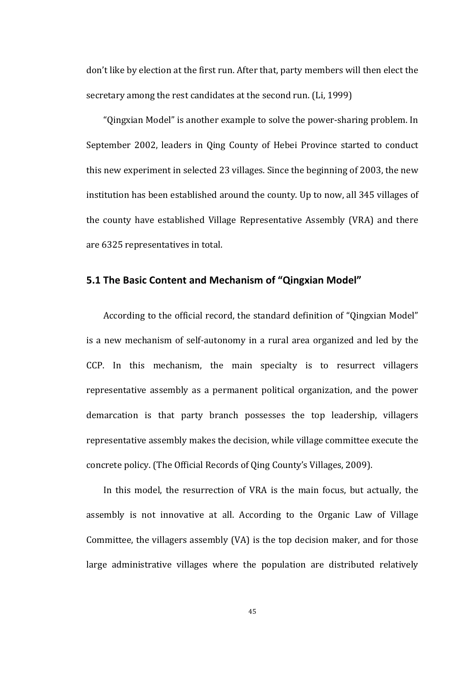don't like by election at the first run. After that, party members will then elect the secretary among the rest candidates at the second run. (Li, 1999)

"Oingxian Model" is another example to solve the power-sharing problem. In September 2002, leaders in Qing County of Hebei Province started to conduct this new experiment in selected 23 villages. Since the beginning of 2003, the new institution has been established around the county. Up to now, all 345 villages of the county have established Village Representative Assembly (VRA) and there are 6325 representatives in total.

## **5.1 The Basic Content and Mechanism of "Qingxian Model"**

According to the official record, the standard definition of "Qingxian Model" is a new mechanism of self-autonomy in a rural area organized and led by the CCP. In this mechanism, the main specialty is to resurrect villagers representative assembly as a permanent political organization, and the power demarcation is that party branch possesses the top leadership, villagers representative assembly makes the decision, while village committee execute the concrete policy. (The Official Records of Qing County's Villages, 2009).

In this model, the resurrection of VRA is the main focus, but actually, the assembly is not innovative at all. According to the Organic Law of Village Committee, the villagers assembly (VA) is the top decision maker, and for those large administrative villages where the population are distributed relatively

45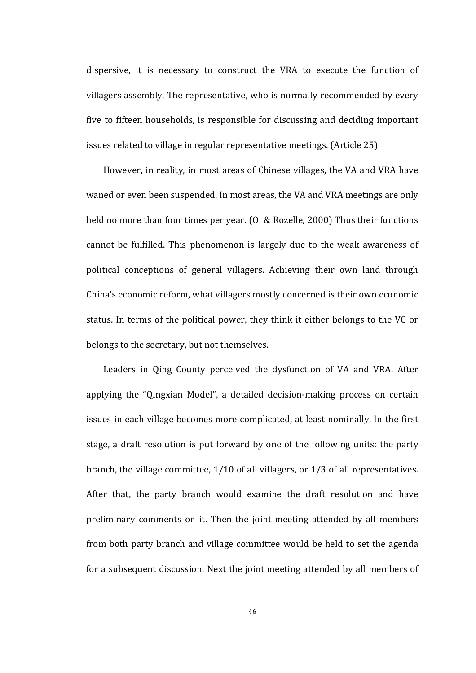dispersive, it is necessary to construct the VRA to execute the function of villagers assembly. The representative, who is normally recommended by every five to fifteen households, is responsible for discussing and deciding important issues related to village in regular representative meetings. (Article 25)

However, in reality, in most areas of Chinese villages, the VA and VRA have waned or even been suspended. In most areas, the VA and VRA meetings are only held no more than four times per year. (Oi & Rozelle, 2000) Thus their functions cannot be fulfilled. This phenomenon is largely due to the weak awareness of political conceptions of general villagers. Achieving their own land through China's economic reform, what villagers mostly concerned is their own economic status. In terms of the political power, they think it either belongs to the VC or belongs to the secretary, but not themselves.

Leaders in Qing County perceived the dysfunction of VA and VRA. After applying the "Qingxian Model", a detailed decision-making process on certain issues in each village becomes more complicated, at least nominally. In the first stage, a draft resolution is put forward by one of the following units: the party branch, the village committee,  $1/10$  of all villagers, or  $1/3$  of all representatives. After that, the party branch would examine the draft resolution and have preliminary comments on it. Then the joint meeting attended by all members from both party branch and village committee would be held to set the agenda for a subsequent discussion. Next the joint meeting attended by all members of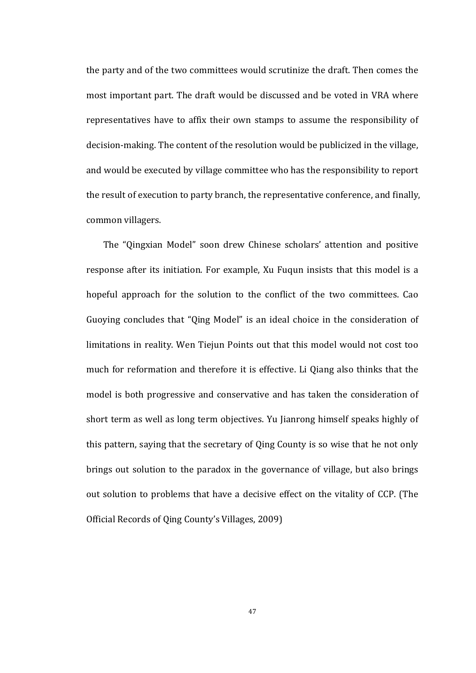the party and of the two committees would scrutinize the draft. Then comes the most important part. The draft would be discussed and be voted in VRA where representatives have to affix their own stamps to assume the responsibility of decision-making. The content of the resolution would be publicized in the village, and would be executed by village committee who has the responsibility to report the result of execution to party branch, the representative conference, and finally, common villagers.

The "Qingxian Model" soon drew Chinese scholars' attention and positive response after its initiation. For example, Xu Fuqun insists that this model is a hopeful approach for the solution to the conflict of the two committees. Cao Guoying concludes that "Qing Model" is an ideal choice in the consideration of limitations in reality. Wen Tiejun Points out that this model would not cost too much for reformation and therefore it is effective. Li Qiang also thinks that the model is both progressive and conservative and has taken the consideration of short term as well as long term objectives. Yu Jianrong himself speaks highly of this pattern, saying that the secretary of Qing County is so wise that he not only brings out solution to the paradox in the governance of village, but also brings out solution to problems that have a decisive effect on the vitality of CCP. (The Official Records of Qing County's Villages, 2009)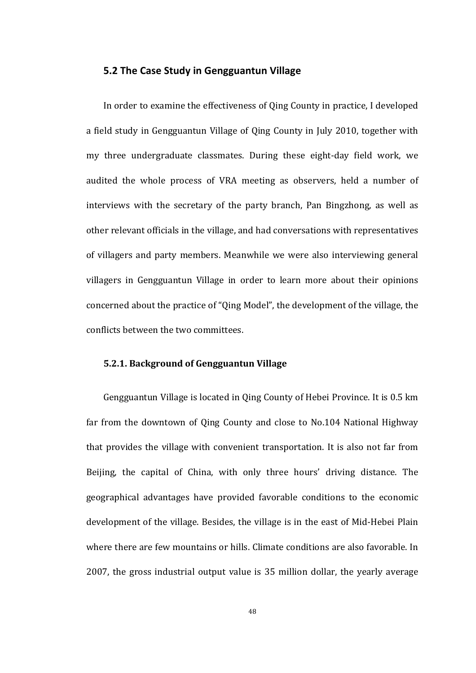#### **5.2 The Case Study in Gengguantun Village**

In order to examine the effectiveness of Qing County in practice, I developed a field study in Gengguantun Village of Oing County in July 2010, together with my three undergraduate classmates. During these eight-day field work, we audited the whole process of VRA meeting as observers, held a number of interviews with the secretary of the party branch, Pan Bingzhong, as well as other relevant officials in the village, and had conversations with representatives of villagers and party members. Meanwhile we were also interviewing general villagers in Gengguantun Village in order to learn more about their opinions concerned about the practice of "Qing Model", the development of the village, the conflicts between the two committees.

#### **5.2.1. Background of Gengguantun Village**

Gengguantun Village is located in Qing County of Hebei Province. It is 0.5 km far from the downtown of Qing County and close to No.104 National Highway that provides the village with convenient transportation. It is also not far from Beijing, the capital of China, with only three hours' driving distance. The geographical advantages have provided favorable conditions to the economic development of the village. Besides, the village is in the east of Mid-Hebei Plain where there are few mountains or hills. Climate conditions are also favorable. In 2007, the gross industrial output value is 35 million dollar, the yearly average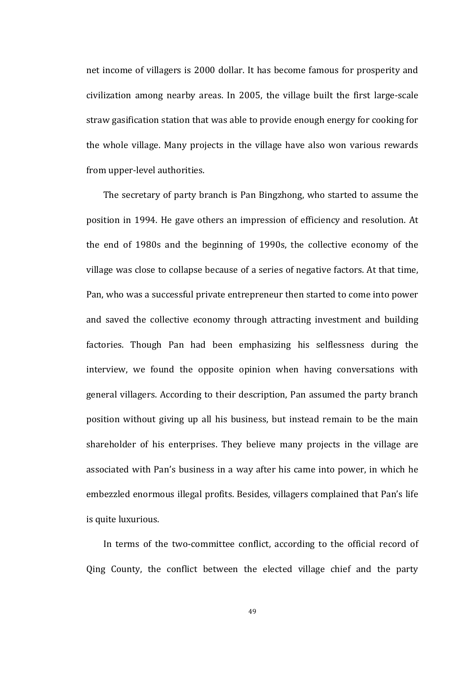net income of villagers is 2000 dollar. It has become famous for prosperity and civilization among nearby areas. In 2005, the village built the first large-scale straw gasification station that was able to provide enough energy for cooking for the whole village. Many projects in the village have also won various rewards from upper-level authorities.

The secretary of party branch is Pan Bingzhong, who started to assume the position in 1994. He gave others an impression of efficiency and resolution. At the end of 1980s and the beginning of 1990s, the collective economy of the village was close to collapse because of a series of negative factors. At that time, Pan, who was a successful private entrepreneur then started to come into power and saved the collective economy through attracting investment and building factories. Though Pan had been emphasizing his selflessness during the interview, we found the opposite opinion when having conversations with general villagers. According to their description, Pan assumed the party branch position without giving up all his business, but instead remain to be the main shareholder of his enterprises. They believe many projects in the village are associated with Pan's business in a way after his came into power, in which he embezzled enormous illegal profits. Besides, villagers complained that Pan's life is quite luxurious.

In terms of the two-committee conflict, according to the official record of Qing County, the conflict between the elected village chief and the party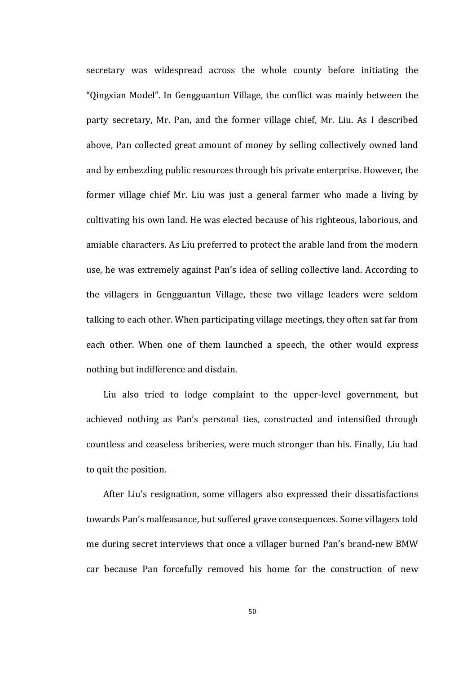secretary was widespread across the whole county before initiating the "Qingxian Model". In Gengguantun Village, the conflict was mainly between the party secretary, Mr. Pan, and the former village chief, Mr. Liu. As I described above, Pan collected great amount of money by selling collectively owned land and by embezzling public resources through his private enterprise. However, the former village chief Mr. Liu was just a general farmer who made a living by cultivating his own land. He was elected because of his righteous, laborious, and amiable characters. As Liu preferred to protect the arable land from the modern use, he was extremely against Pan's idea of selling collective land. According to the villagers in Gengguantun Village, these two village leaders were seldom talking to each other. When participating village meetings, they often sat far from each other. When one of them launched a speech, the other would express nothing but indifference and disdain.

Liu also tried to lodge complaint to the upper-level government, but achieved nothing as Pan's personal ties, constructed and intensified through countless and ceaseless briberies, were much stronger than his. Finally, Liu had to quit the position.

After Liu's resignation, some villagers also expressed their dissatisfactions towards Pan's malfeasance, but suffered grave consequences. Some villagers told me during secret interviews that once a villager burned Pan's brand-new BMW car because Pan forcefully removed his home for the construction of new

50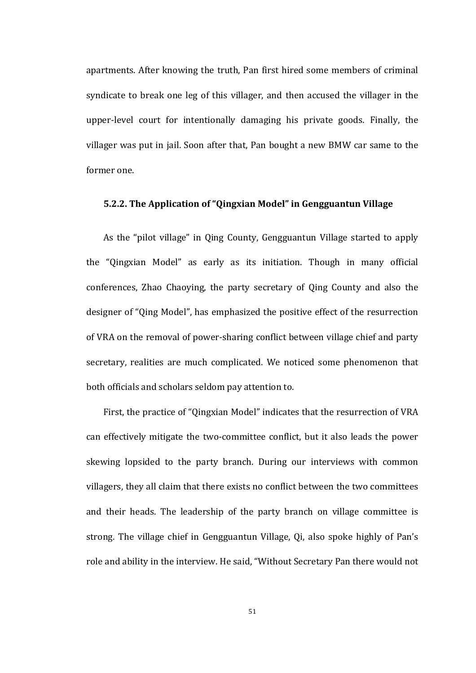apartments. After knowing the truth, Pan first hired some members of criminal syndicate to break one leg of this villager, and then accused the villager in the upper-level court for intentionally damaging his private goods. Finally, the villager was put in jail. Soon after that, Pan bought a new BMW car same to the former one.

#### **5.2.2.** The Application of "Qingxian Model" in Gengguantun Village

As the "pilot village" in Qing County, Gengguantun Village started to apply the "Qingxian Model" as early as its initiation. Though in many official conferences, Zhao Chaoying, the party secretary of Qing County and also the designer of "Oing Model", has emphasized the positive effect of the resurrection of VRA on the removal of power-sharing conflict between village chief and party secretary, realities are much complicated. We noticed some phenomenon that both officials and scholars seldom pay attention to.

First, the practice of "Qingxian Model" indicates that the resurrection of VRA can effectively mitigate the two-committee conflict, but it also leads the power skewing lopsided to the party branch. During our interviews with common villagers, they all claim that there exists no conflict between the two committees and their heads. The leadership of the party branch on village committee is strong. The village chief in Gengguantun Village, Qi, also spoke highly of Pan's role and ability in the interview. He said, "Without Secretary Pan there would not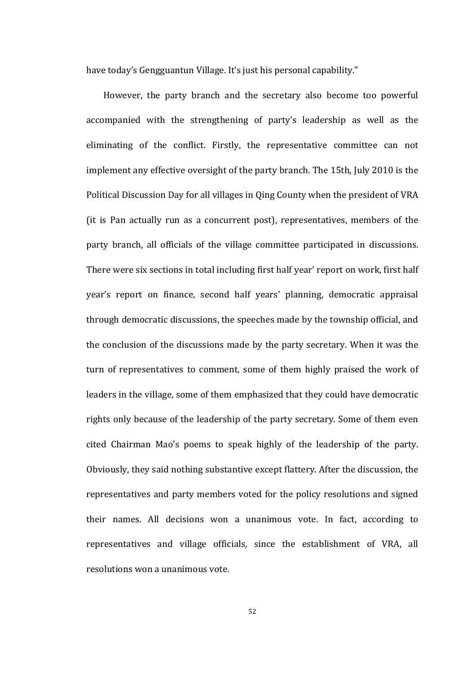have today's Gengguantun Village. It's just his personal capability."

However, the party branch and the secretary also become too powerful accompanied with the strengthening of party's leadership as well as the eliminating of the conflict. Firstly, the representative committee can not implement any effective oversight of the party branch. The 15th, July 2010 is the Political Discussion Day for all villages in Qing County when the president of VRA (it is Pan actually run as a concurrent post), representatives, members of the party branch, all officials of the village committee participated in discussions. There were six sections in total including first half year' report on work, first half year's report on finance, second half years' planning, democratic appraisal through democratic discussions, the speeches made by the township official, and the conclusion of the discussions made by the party secretary. When it was the turn of representatives to comment, some of them highly praised the work of leaders in the village, some of them emphasized that they could have democratic rights only because of the leadership of the party secretary. Some of them even cited Chairman Mao's poems to speak highly of the leadership of the party. Obviously, they said nothing substantive except flattery. After the discussion, the representatives and party members voted for the policy resolutions and signed their names. All decisions won a unanimous vote. In fact, according to representatives and village officials, since the establishment of VRA, all resolutions won a unanimous vote.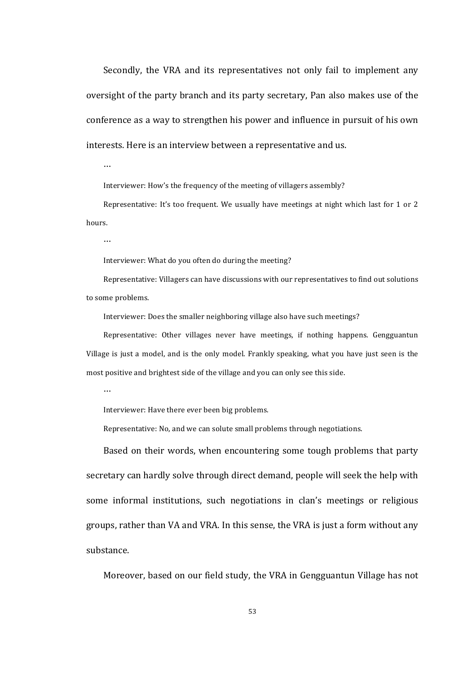Secondly, the VRA and its representatives not only fail to implement any oversight of the party branch and its party secretary, Pan also makes use of the conference as a way to strengthen his power and influence in pursuit of his own interests. Here is an interview between a representative and us.

…

Interviewer: How's the frequency of the meeting of villagers assembly?

Representative: It's too frequent. We usually have meetings at night which last for 1 or 2 hours. 

…

Interviewer: What do you often do during the meeting?

Representative: Villagers can have discussions with our representatives to find out solutions to some problems.

Interviewer: Does the smaller neighboring village also have such meetings?

Representative: Other villages never have meetings, if nothing happens. Gengguantun Village is just a model, and is the only model. Frankly speaking, what you have just seen is the most positive and brightest side of the village and you can only see this side.

…

Interviewer: Have there ever been big problems.

Representative: No, and we can solute small problems through negotiations.

Based on their words, when encountering some tough problems that party secretary can hardly solve through direct demand, people will seek the help with some informal institutions, such negotiations in clan's meetings or religious groups, rather than VA and VRA. In this sense, the VRA is just a form without any substance.

Moreover, based on our field study, the VRA in Gengguantun Village has not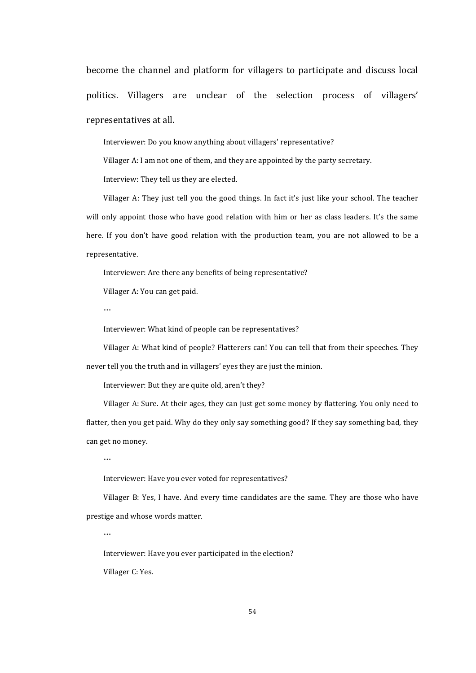become the channel and platform for villagers to participate and discuss local politics. Villagers are unclear of the selection process of villagers' representatives at all.

Interviewer: Do you know anything about villagers' representative?

Villager A: I am not one of them, and they are appointed by the party secretary.

Interview: They tell us they are elected.

Villager A: They just tell you the good things. In fact it's just like your school. The teacher will only appoint those who have good relation with him or her as class leaders. It's the same here. If you don't have good relation with the production team, you are not allowed to be a representative.

Interviewer: Are there any benefits of being representative?

Villager A: You can get paid.

…

Interviewer: What kind of people can be representatives?

Villager A: What kind of people? Flatterers can! You can tell that from their speeches. They never tell you the truth and in villagers' eyes they are just the minion.

Interviewer: But they are quite old, aren't they?

Villager A: Sure. At their ages, they can just get some money by flattering. You only need to flatter, then you get paid. Why do they only say something good? If they say something bad, they can get no money.

…

Interviewer: Have you ever voted for representatives?

Villager B: Yes, I have. And every time candidates are the same. They are those who have prestige and whose words matter.

…

Interviewer: Have you ever participated in the election?

Villager C: Yes.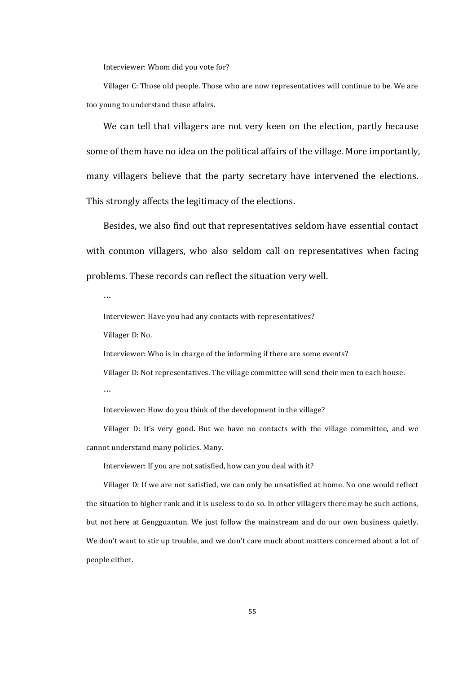Interviewer: Whom did you vote for?

Villager C: Those old people. Those who are now representatives will continue to be. We are too young to understand these affairs.

We can tell that villagers are not very keen on the election, partly because some of them have no idea on the political affairs of the village. More importantly, many villagers believe that the party secretary have intervened the elections. This strongly affects the legitimacy of the elections.

Besides, we also find out that representatives seldom have essential contact with common villagers, who also seldom call on representatives when facing problems. These records can reflect the situation very well.

…

Interviewer: Have you had any contacts with representatives?

Villager D: No.

Interviewer: Who is in charge of the informing if there are some events?

Villager D: Not representatives. The village committee will send their men to each house. …

Interviewer: How do you think of the development in the village?

Villager D: It's very good. But we have no contacts with the village committee, and we cannot understand many policies. Many.

Interviewer: If you are not satisfied, how can you deal with it?

Villager D: If we are not satisfied, we can only be unsatisfied at home. No one would reflect the situation to higher rank and it is useless to do so. In other villagers there may be such actions, but not here at Gengguantun. We just follow the mainstream and do our own business quietly. We don't want to stir up trouble, and we don't care much about matters concerned about a lot of people either.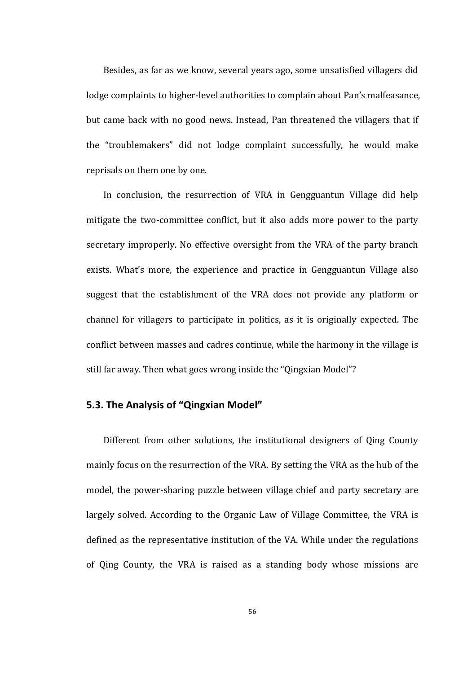Besides, as far as we know, several years ago, some unsatisfied villagers did lodge complaints to higher-level authorities to complain about Pan's malfeasance, but came back with no good news. Instead, Pan threatened the villagers that if the "troublemakers" did not lodge complaint successfully, he would make reprisals on them one by one.

In conclusion, the resurrection of VRA in Gengguantun Village did help mitigate the two-committee conflict, but it also adds more power to the party secretary improperly. No effective oversight from the VRA of the party branch exists. What's more, the experience and practice in Gengguantun Village also suggest that the establishment of the VRA does not provide any platform or channel for villagers to participate in politics, as it is originally expected. The conflict between masses and cadres continue, while the harmony in the village is still far away. Then what goes wrong inside the "Qingxian Model"?

### **5.3. The Analysis of "Qingxian Model"**

Different from other solutions, the institutional designers of Qing County mainly focus on the resurrection of the VRA. By setting the VRA as the hub of the model, the power-sharing puzzle between village chief and party secretary are largely solved. According to the Organic Law of Village Committee, the VRA is defined as the representative institution of the VA. While under the regulations of Oing County, the VRA is raised as a standing body whose missions are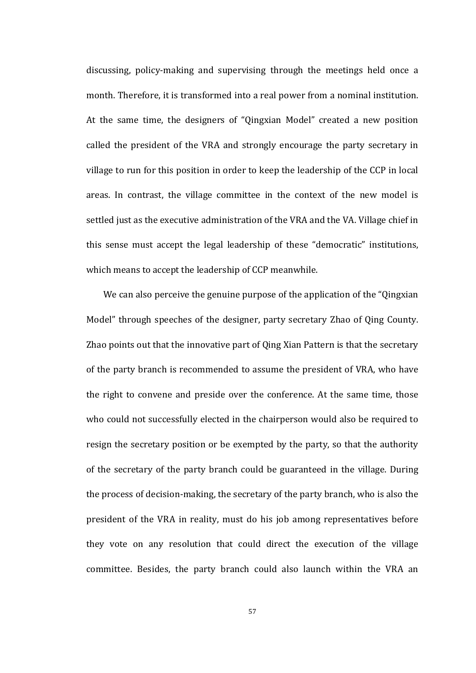discussing, policy-making and supervising through the meetings held once a month. Therefore, it is transformed into a real power from a nominal institution. At the same time, the designers of "Oingxian Model" created a new position called the president of the VRA and strongly encourage the party secretary in village to run for this position in order to keep the leadership of the CCP in local areas. In contrast, the village committee in the context of the new model is settled just as the executive administration of the VRA and the VA. Village chief in this sense must accept the legal leadership of these "democratic" institutions, which means to accept the leadership of CCP meanwhile.

We can also perceive the genuine purpose of the application of the "Qingxian" Model" through speeches of the designer, party secretary Zhao of Qing County. Zhao points out that the innovative part of Qing Xian Pattern is that the secretary of the party branch is recommended to assume the president of VRA, who have the right to convene and preside over the conference. At the same time, those who could not successfully elected in the chairperson would also be required to resign the secretary position or be exempted by the party, so that the authority of the secretary of the party branch could be guaranteed in the village. During the process of decision-making, the secretary of the party branch, who is also the president of the VRA in reality, must do his job among representatives before they vote on any resolution that could direct the execution of the village committee. Besides, the party branch could also launch within the VRA an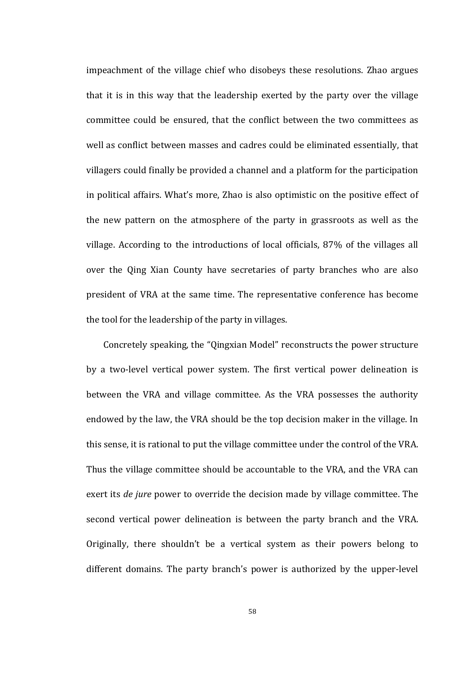impeachment of the village chief who disobeys these resolutions. Zhao argues that it is in this way that the leadership exerted by the party over the village committee could be ensured, that the conflict between the two committees as well as conflict between masses and cadres could be eliminated essentially, that villagers could finally be provided a channel and a platform for the participation in political affairs. What's more, Zhao is also optimistic on the positive effect of the new pattern on the atmosphere of the party in grassroots as well as the village. According to the introductions of local officials, 87% of the villages all over the Qing Xian County have secretaries of party branches who are also president of VRA at the same time. The representative conference has become the tool for the leadership of the party in villages.

Concretely speaking, the "Qingxian Model" reconstructs the power structure by a two-level vertical power system. The first vertical power delineation is between the VRA and village committee. As the VRA possesses the authority endowed by the law, the VRA should be the top decision maker in the village. In this sense, it is rational to put the village committee under the control of the VRA. Thus the village committee should be accountable to the VRA, and the VRA can exert its *de jure* power to override the decision made by village committee. The second vertical power delineation is between the party branch and the VRA. Originally, there shouldn't be a vertical system as their powers belong to different domains. The party branch's power is authorized by the upper-level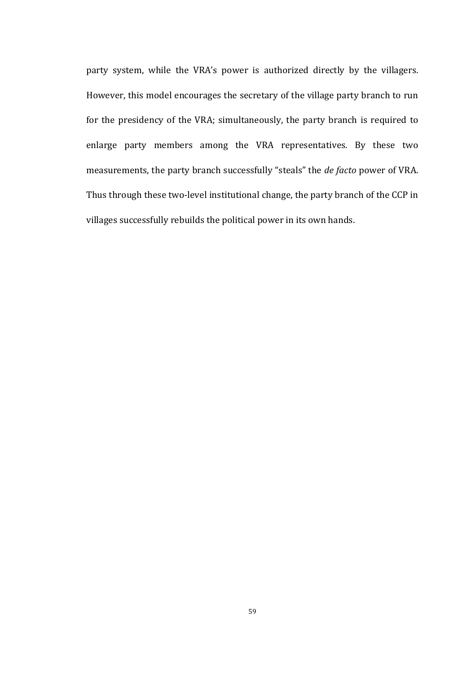party system, while the VRA's power is authorized directly by the villagers. However, this model encourages the secretary of the village party branch to run for the presidency of the VRA; simultaneously, the party branch is required to enlarge party members among the VRA representatives. By these two measurements, the party branch successfully "steals" the *de facto* power of VRA. Thus through these two-level institutional change, the party branch of the CCP in villages successfully rebuilds the political power in its own hands.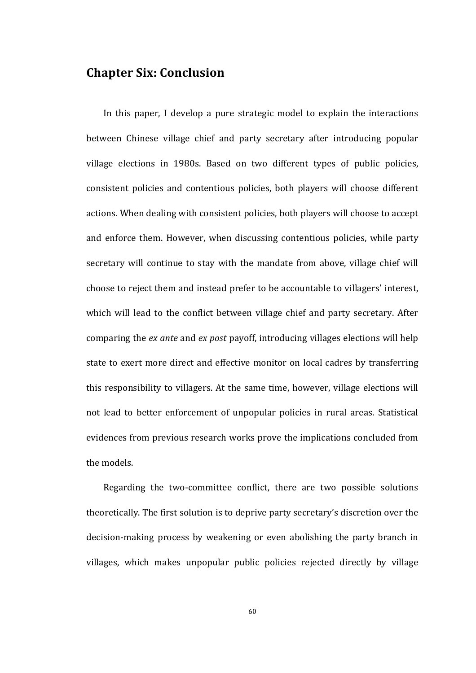# **Chapter Six: Conclusion**

In this paper, I develop a pure strategic model to explain the interactions between Chinese village chief and party secretary after introducing popular village elections in 1980s. Based on two different types of public policies, consistent policies and contentious policies, both players will choose different actions. When dealing with consistent policies, both players will choose to accept and enforce them. However, when discussing contentious policies, while party secretary will continue to stay with the mandate from above, village chief will choose to reject them and instead prefer to be accountable to villagers' interest, which will lead to the conflict between village chief and party secretary. After comparing the *ex ante* and *ex post* payoff, introducing villages elections will help state to exert more direct and effective monitor on local cadres by transferring this responsibility to villagers. At the same time, however, village elections will not lead to better enforcement of unpopular policies in rural areas. Statistical evidences from previous research works prove the implications concluded from the models.

Regarding the two-committee conflict, there are two possible solutions theoretically. The first solution is to deprive party secretary's discretion over the decision-making process by weakening or even abolishing the party branch in villages, which makes unpopular public policies rejected directly by village

60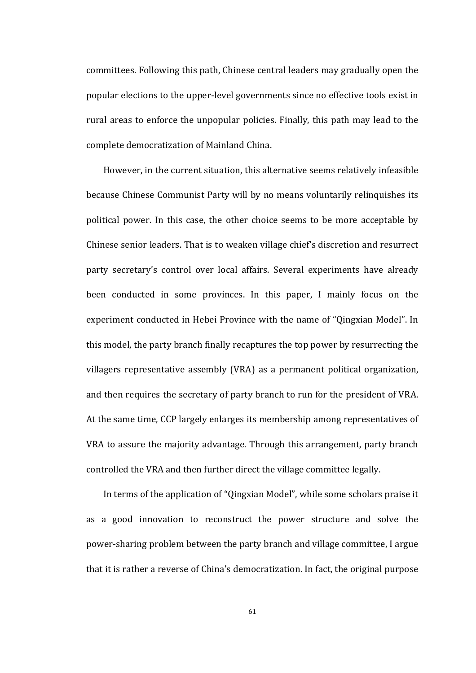committees. Following this path, Chinese central leaders may gradually open the popular elections to the upper-level governments since no effective tools exist in rural areas to enforce the unpopular policies. Finally, this path may lead to the complete democratization of Mainland China.

However, in the current situation, this alternative seems relatively infeasible because Chinese Communist Party will by no means voluntarily relinquishes its political power. In this case, the other choice seems to be more acceptable by Chinese senior leaders. That is to weaken village chief's discretion and resurrect party secretary's control over local affairs. Several experiments have already been conducted in some provinces. In this paper, I mainly focus on the experiment conducted in Hebei Province with the name of "Qingxian Model". In this model, the party branch finally recaptures the top power by resurrecting the villagers representative assembly (VRA) as a permanent political organization, and then requires the secretary of party branch to run for the president of VRA. At the same time, CCP largely enlarges its membership among representatives of VRA to assure the majority advantage. Through this arrangement, party branch controlled the VRA and then further direct the village committee legally.

In terms of the application of "Qingxian Model", while some scholars praise it as a good innovation to reconstruct the power structure and solve the power-sharing problem between the party branch and village committee, I argue that it is rather a reverse of China's democratization. In fact, the original purpose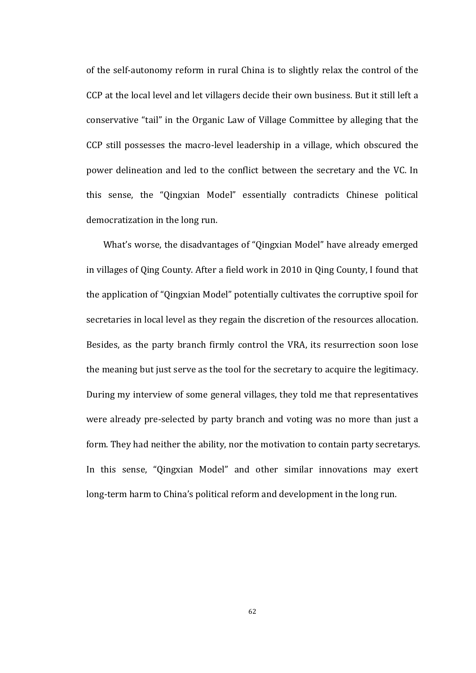of the self-autonomy reform in rural China is to slightly relax the control of the CCP at the local level and let villagers decide their own business. But it still left a conservative "tail" in the Organic Law of Village Committee by alleging that the CCP still possesses the macro-level leadership in a village, which obscured the power delineation and led to the conflict between the secretary and the VC. In this sense, the "Qingxian Model" essentially contradicts Chinese political democratization in the long run.

What's worse, the disadvantages of "Qingxian Model" have already emerged in villages of Qing County. After a field work in 2010 in Qing County, I found that the application of "Qingxian Model" potentially cultivates the corruptive spoil for secretaries in local level as they regain the discretion of the resources allocation. Besides, as the party branch firmly control the VRA, its resurrection soon lose the meaning but just serve as the tool for the secretary to acquire the legitimacy. During my interview of some general villages, they told me that representatives were already pre-selected by party branch and voting was no more than just a form. They had neither the ability, nor the motivation to contain party secretarys. In this sense, "Qingxian Model" and other similar innovations may exert long-term harm to China's political reform and development in the long run.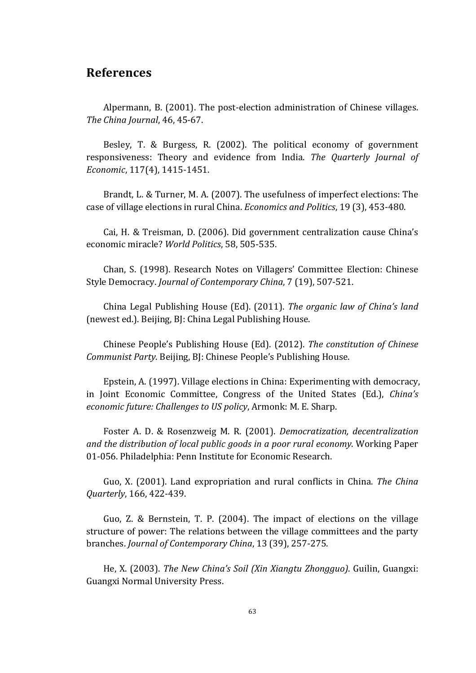## **References**

Alpermann, B. (2001). The post-election administration of Chinese villages. *The China Journal*, 46, 45-67.

Besley, T. & Burgess, R.  $(2002)$ . The political economy of government responsiveness: Theory and evidence from India. The Quarterly Journal of *Economic*, 117(4), 1415-1451.

Brandt, L. & Turner, M. A. (2007). The usefulness of imperfect elections: The case of village elections in rural China. *Economics and Politics*, 19 (3), 453-480.

Cai, H. & Treisman, D. (2006). Did government centralization cause China's economic miracle? World Politics, 58, 505-535.

Chan, S. (1998). Research Notes on Villagers' Committee Election: Chinese Style Democracy. *Journal of Contemporary China*, 7 (19), 507-521.

China Legal Publishing House (Ed). (2011). *The organic law of China's land* (newest ed.). Beijing, BJ: China Legal Publishing House.

Chinese People's Publishing House (Ed). (2012). *The constitution of Chinese Communist Party.* Beijing, BJ: Chinese People's Publishing House.

Epstein, A. (1997). Village elections in China: Experimenting with democracy, in Joint Economic Committee, Congress of the United States (Ed.), *China's economic future: Challenges to US policy, Armonk: M. E. Sharp.* 

Foster A. D. & Rosenzweig M. R. (2001). *Democratization, decentralization and the distribution of local public goods in a poor rural economy.* Working Paper 01-056. Philadelphia: Penn Institute for Economic Research.

Guo, X. (2001). Land expropriation and rural conflicts in China. *The China Quarterly*, 166, 422-439.

Guo, Z. & Bernstein, T. P.  $(2004)$ . The impact of elections on the village structure of power: The relations between the village committees and the party branches. *Journal of Contemporary China*, 13 (39), 257-275.

He, X. (2003). *The New China's Soil (Xin Xiangtu Zhongguo)*. Guilin, Guangxi: Guangxi Normal University Press.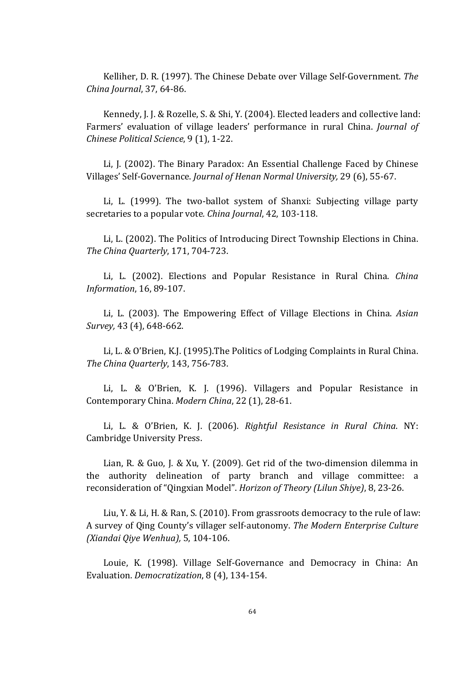Kelliher, D. R. (1997). The Chinese Debate over Village Self-Government. *The China Journal*, 37, 64-86.

Kennedy, J. J. & Rozelle, S. & Shi, Y. (2004). Elected leaders and collective land: Farmers' evaluation of village leaders' performance in rural China. *Journal of Chinese Political Science*, 9 (1), 1-22.

Li, J. (2002). The Binary Paradox: An Essential Challenge Faced by Chinese Villages' Self-Governance. *Journal of Henan Normal University,* 29 (6), 55-67.

Li, L. (1999). The two-ballot system of Shanxi: Subjecting village party secretaries to a popular vote. *China Journal*, 42, 103-118.

Li, L. (2002). The Politics of Introducing Direct Township Elections in China. *The China Quarterly*, 171, 704-723.

Li, L. (2002). Elections and Popular Resistance in Rural China. *China Information*, 16, 89-107.

Li, L. (2003). The Empowering Effect of Village Elections in China. *Asian Survey*, 43 (4), 648-662.

Li, L. & O'Brien, K.J. (1995). The Politics of Lodging Complaints in Rural China. *The China Quarterly*, 143, 756-783.

Li, L. & O'Brien, K. J. (1996). Villagers and Popular Resistance in Contemporary China. *Modern China*, 22 (1), 28-61.

Li, L. & O'Brien, K. J. (2006). *Rightful Resistance in Rural China*. NY: Cambridge University Press.

Lian, R. & Guo, J. & Xu, Y. (2009). Get rid of the two-dimension dilemma in the authority delineation of party branch and village committee: a reconsideration of "Qingxian Model". *Horizon of Theory (Lilun Shiye)*, 8, 23-26.

Liu, Y. & Li, H. & Ran, S. (2010). From grassroots democracy to the rule of law: A survey of Qing County's villager self-autonomy. The Modern Enterprise Culture *(Xiandai Qiye Wenhua),* 5, 104-106.

Louie, K. (1998). Village Self-Governance and Democracy in China: An Evaluation. *Democratization*, 8 (4), 134-154.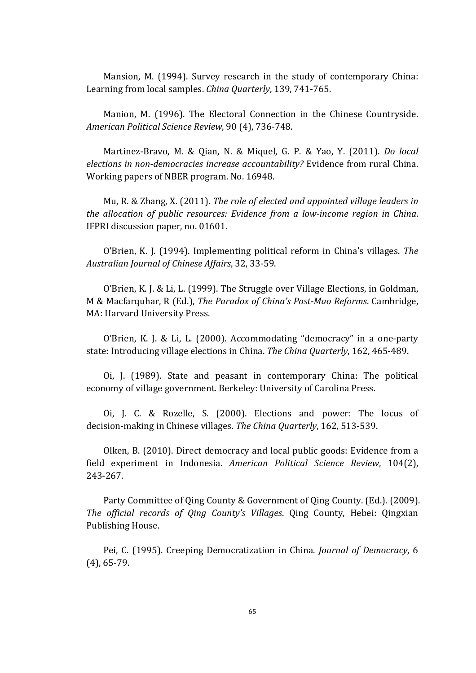Mansion, M. (1994). Survey research in the study of contemporary China: Learning from local samples. *China Quarterly*, 139, 741-765.

Manion, M. (1996). The Electoral Connection in the Chinese Countryside. *American Political Science Review*, 90 (4), 736-748.

Martinez-Bravo, M. & Qian, N. & Miquel, G. P. & Yao, Y. (2011). *Do local elections in non-democracies increase accountability?* Evidence from rural China. Working papers of NBER program. No. 16948.

Mu, R. & Zhang, X. (2011). *The role of elected and appointed village leaders in the allocation of public resources: Evidence from a low-income region in China.* IFPRI discussion paper, no. 01601.

O'Brien, K. J. (1994). Implementing political reform in China's villages. The *Australian Journal of Chinese Affairs*, 32, 33-59.

O'Brien, K. J. & Li, L. (1999). The Struggle over Village Elections, in Goldman, M & Macfarquhar, R (Ed.), *The Paradox of China's Post-Mao Reforms*. Cambridge, MA: Harvard University Press.

O'Brien, K. J. & Li, L. (2000). Accommodating "democracy" in a one-party state: Introducing village elections in China. *The China Quarterly*, 162, 465-489.

Oi, J. (1989). State and peasant in contemporary China: The political economy of village government. Berkeley: University of Carolina Press.

Oi, J. C. & Rozelle, S. (2000). Elections and power: The locus of decision-making in Chinese villages. The China Quarterly, 162, 513-539.

Olken, B. (2010). Direct democracy and local public goods: Evidence from a field experiment in Indonesia. *American Political Science Review*, 104(2), 243-267.

Party Committee of Qing County & Government of Qing County. (Ed.). (2009). *The official records of Qing County's Villages.* Qing County, Hebei: Qingxian Publishing House.

Pei, C. (1995). Creeping Democratization in China. *Journal of Democracy*, 6  $(4)$ , 65-79.